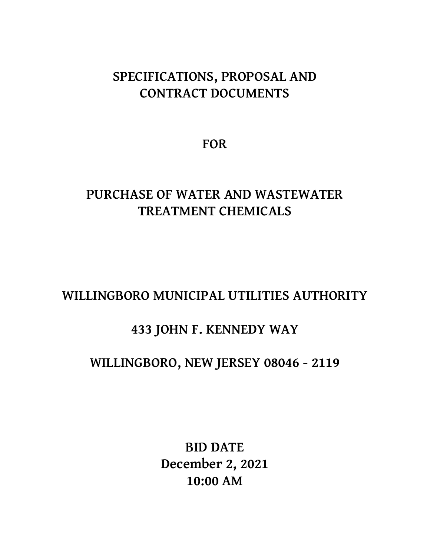# **SPECIFICATIONS, PROPOSAL AND CONTRACT DOCUMENTS**

**FOR**

# **PURCHASE OF WATER AND WASTEWATER TREATMENT CHEMICALS**

# **WILLINGBORO MUNICIPAL UTILITIES AUTHORITY**

# **433 JOHN F. KENNEDY WAY**

# **WILLINGBORO, NEW JERSEY 08046 - 2119**

**BID DATE December 2, 2021 10:00 AM**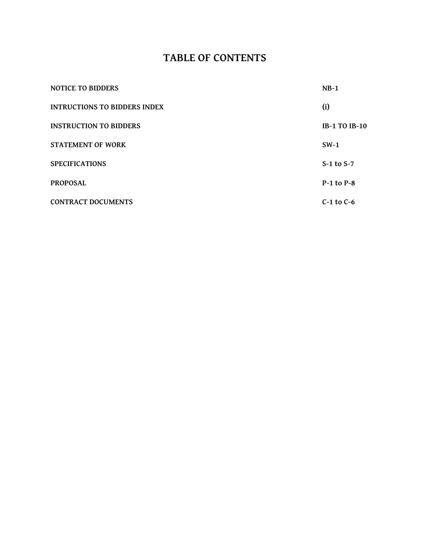### **TABLE OF CONTENTS**

| <b>NOTICE TO BIDDERS</b>            | $NB-1$               |
|-------------------------------------|----------------------|
| <b>INTRUCTIONS TO BIDDERS INDEX</b> | (i)                  |
| <b>INSTRUCTION TO BIDDERS</b>       | <b>IB-1 TO IB-10</b> |
| <b>STATEMENT OF WORK</b>            | $SW-1$               |
| <b>SPECIFICATIONS</b>               | $S-1$ to $S-7$       |
| <b>PROPOSAL</b>                     | $P-1$ to $P-8$       |
| <b>CONTRACT DOCUMENTS</b>           | $C-1$ to $C-6$       |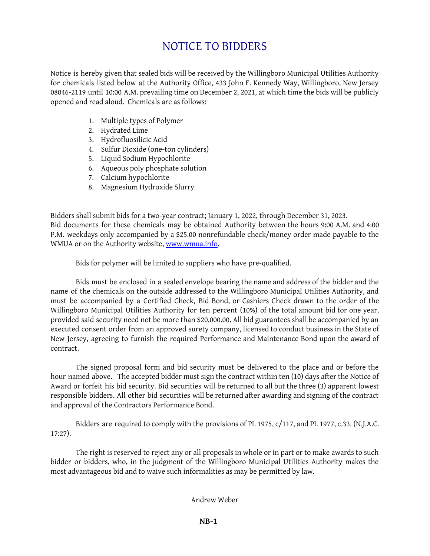# NOTICE TO BIDDERS

Notice is hereby given that sealed bids will be received by the Willingboro Municipal Utilities Authority for chemicals listed below at the Authority Office, 433 John F. Kennedy Way, Willingboro, New Jersey 08046-2119 until 10:00 A.M. prevailing time on December 2, 2021, at which time the bids will be publicly opened and read aloud. Chemicals are as follows:

- 1. Multiple types of Polymer
- 2. Hydrated Lime
- 3. Hydrofluosilicic Acid
- 4. Sulfur Dioxide (one-ton cylinders)
- 5. Liquid Sodium Hypochlorite
- 6. Aqueous poly phosphate solution
- 7. Calcium hypochlorite
- 8. Magnesium Hydroxide Slurry

Bidders shall submit bids for a two-year contract; January 1, 2022, through December 31, 2023. Bid documents for these chemicals may be obtained Authority between the hours 9:00 A.M. and 4:00 P.M. weekdays only accompanied by a \$25.00 nonrefundable check/money order made payable to the WMUA or on the Authority website, [www.wmua.info.](http://www.wmua.info)

Bids for polymer will be limited to suppliers who have pre-qualified.

Bids must be enclosed in a sealed envelope bearing the name and address of the bidder and the name of the chemicals on the outside addressed to the Willingboro Municipal Utilities Authority, and must be accompanied by a Certified Check, Bid Bond, or Cashiers Check drawn to the order of the Willingboro Municipal Utilities Authority for ten percent (10%) of the total amount bid for one year, provided said security need not be more than \$20,000.00. All bid guarantees shall be accompanied by an executed consent order from an approved surety company, licensed to conduct business in the State of New Jersey, agreeing to furnish the required Performance and Maintenance Bond upon the award of contract.

The signed proposal form and bid security must be delivered to the place and or before the hour named above. The accepted bidder must sign the contract within ten (10) days after the Notice of Award or forfeit his bid security. Bid securities will be returned to all but the three (3) apparent lowest responsible bidders. All other bid securities will be returned after awarding and signing of the contract and approval of the Contractors Performance Bond.

Bidders are required to comply with the provisions of PL 1975, c/117, and PL 1977, c.33. (N.J.A.C. 17:27).

The right is reserved to reject any or all proposals in whole or in part or to make awards to such bidder or bidders, who, in the judgment of the Willingboro Municipal Utilities Authority makes the most advantageous bid and to waive such informalities as may be permitted by law.

Andrew Weber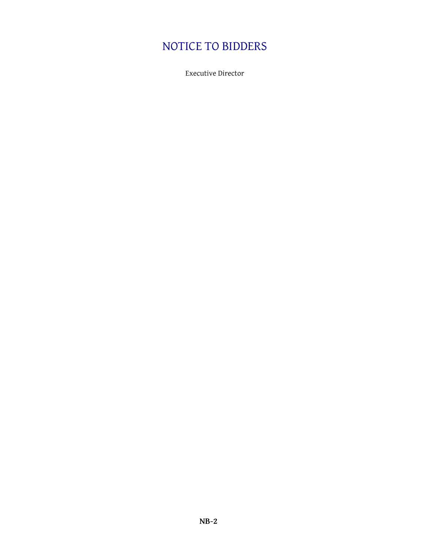# NOTICE TO BIDDERS

Executive Director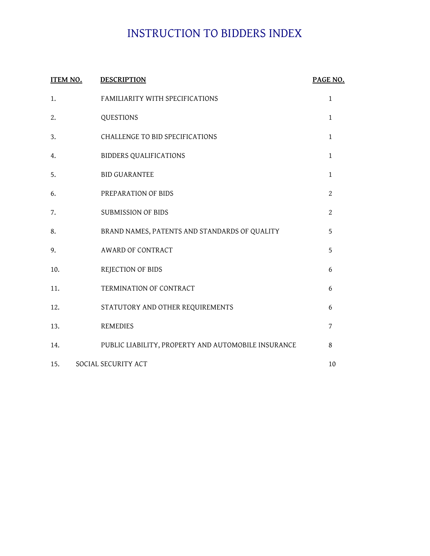# INSTRUCTION TO BIDDERS INDEX

| <b>ITEM NO.</b> | <b>DESCRIPTION</b>                                  | PAGE NO.       |
|-----------------|-----------------------------------------------------|----------------|
| 1.              | FAMILIARITY WITH SPECIFICATIONS                     | $\mathbf{1}$   |
| 2.              | QUESTIONS                                           | $\mathbf{1}$   |
| 3.              | CHALLENGE TO BID SPECIFICATIONS                     | $\mathbf{1}$   |
| 4.              | <b>BIDDERS QUALIFICATIONS</b>                       | $\mathbf{1}$   |
| 5.              | <b>BID GUARANTEE</b>                                | $\mathbf{1}$   |
| 6.              | PREPARATION OF BIDS                                 | $\overline{2}$ |
| 7.              | SUBMISSION OF BIDS                                  | $\overline{2}$ |
| 8.              | BRAND NAMES, PATENTS AND STANDARDS OF QUALITY       | 5              |
| 9.              | <b>AWARD OF CONTRACT</b>                            | 5              |
| 10.             | REJECTION OF BIDS                                   | 6              |
| 11.             | TERMINATION OF CONTRACT                             | 6              |
| 12.             | STATUTORY AND OTHER REQUIREMENTS                    | 6              |
| 13.             | <b>REMEDIES</b>                                     | 7              |
| 14.             | PUBLIC LIABILITY, PROPERTY AND AUTOMOBILE INSURANCE | 8              |
| 15.             | SOCIAL SECURITY ACT                                 | 10             |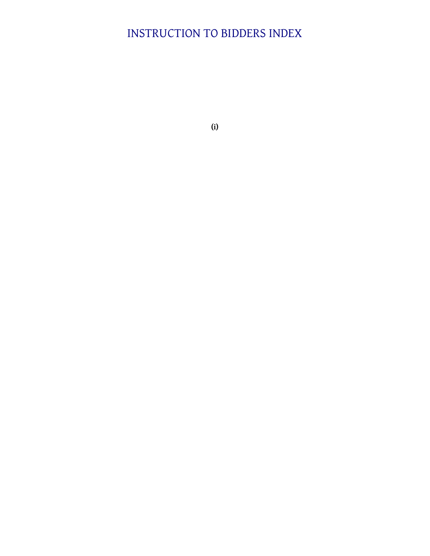# INSTRUCTION TO BIDDERS INDEX

**(i)**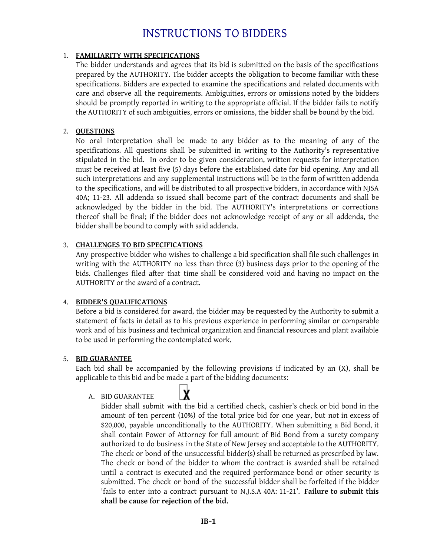### 1. **FAMILIARITY WITH SPECIFICATIONS**

The bidder understands and agrees that its bid is submitted on the basis of the specifications prepared by the AUTHORITY. The bidder accepts the obligation to become familiar with these specifications. Bidders are expected to examine the specifications and related documents with care and observe all the requirements. Ambiguities, errors or omissions noted by the bidders should be promptly reported in writing to the appropriate official. If the bidder fails to notify the AUTHORITY of such ambiguities, errors or omissions, the bidder shall be bound by the bid.

### 2. **QUESTIONS**

No oral interpretation shall be made to any bidder as to the meaning of any of the specifications. All questions shall be submitted in writing to the Authority's representative stipulated in the bid. In order to be given consideration, written requests for interpretation must be received at least five (5) days before the established date for bid opening. Any and all such interpretations and any supplemental instructions will be in the form of written addenda to the specifications, and will be distributed to all prospective bidders, in accordance with NJSA 40A; 11-23. All addenda so issued shall become part of the contract documents and shall be acknowledged by the bidder in the bid. The AUTHORITY's interpretations or corrections thereof shall be final; if the bidder does not acknowledge receipt of any or all addenda, the bidder shall be bound to comply with said addenda.

### 3. **CHALLENGES TO BID SPECIFICATIONS**

Any prospective bidder who wishes to challenge a bid specification shall file such challenges in writing with the AUTHORITY no less than three (3) business days prior to the opening of the bids. Challenges filed after that time shall be considered void and having no impact on the AUTHORITY or the award of a contract.

### 4. **BIDDER'S QUALIFICATIONS**

Before a bid is considered for award, the bidder may be requested by the Authority to submit a statement of facts in detail as to his previous experience in performing similar or comparable work and of his business and technical organization and financial resources and plant available to be used in performing the contemplated work.

### 5. **BID GUARANTEE**

Each bid shall be accompanied by the following provisions if indicated by an (X), shall be applicable to this bid and be made a part of the bidding documents:

### A. BID GUARANTEE



Bidder shall submit with the bid a certified check, cashier's check or bid bond in the amount of ten percent (10%) of the total price bid for one year, but not in excess of \$20,000, payable unconditionally to the AUTHORITY. When submitting a Bid Bond, it shall contain Power of Attorney for full amount of Bid Bond from a surety company authorized to do business in the State of New Jersey and acceptable to the AUTHORITY. The check or bond of the unsuccessful bidder(s) shall be returned as prescribed by law. The check or bond of the bidder to whom the contract is awarded shall be retained until a contract is executed and the required performance bond or other security is submitted. The check or bond of the successful bidder shall be forfeited if the bidder 'fails to enter into a contract pursuant to N.J.S.A 40A: 11-21'. **Failure to submit this shall be cause for rejection of the bid.**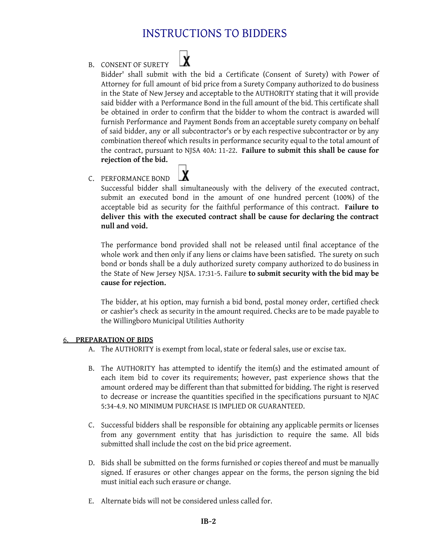$\mathbf{\dot{x}}$ 

B. CONSENT OF SURETY

Bidder' shall submit with the bid a Certificate (Consent of Surety) with Power of Attorney for full amount of bid price from a Surety Company authorized to do business in the State of New Jersey and acceptable to the AUTHORITY stating that it will provide said bidder with a Performance Bond in the full amount of the bid. This certificate shall be obtained in order to confirm that the bidder to whom the contract is awarded will furnish Performance and Payment Bonds from an acceptable surety company on behalf of said bidder, any or all subcontractor's or by each respective subcontractor or by any combination thereof which results in performance security equal to the total amount of the contract, pursuant to NJSA 40A: 11-22. **Failure to submit this shall be cause for rejection of the bid.**

### C. PERFORMANCE BOND

Successful bidder shall simultaneously with the delivery of the executed contract, submit an executed bond in the amount of one hundred percent (100%) of the acceptable bid as security for the faithful performance of this contract. **Failure to deliver this with the executed contract shall be cause for declaring the contract null and void.**

The performance bond provided shall not be released until final acceptance of the whole work and then only if any liens or claims have been satisfied. The surety on such bond or bonds shall be a duly authorized surety company authorized to do business in the State of New Jersey NJSA. 17:31-5. Failure **to submit security with the bid may be cause for rejection.**

The bidder, at his option, may furnish a bid bond, postal money order, certified check or cashier's check as security in the amount required. Checks are to be made payable to the Willingboro Municipal Utilities Authority

### 6. **PREPARATION OF BIDS**

- A. The AUTHORITY is exempt from local, state or federal sales, use or excise tax.
- B. The AUTHORITY has attempted to identify the item(s) and the estimated amount of each item bid to cover its requirements; however, past experience shows that the amount ordered may be different than that submitted for bidding. The right is reserved to decrease or increase the quantities specified in the specifications pursuant to NJAC 5:34-4.9. NO MINIMUM PURCHASE IS IMPLIED OR GUARANTEED.
- C. Successful bidders shall be responsible for obtaining any applicable permits or licenses from any government entity that has jurisdiction to require the same. All bids submitted shall include the cost on the bid price agreement.
- D. Bids shall be submitted on the forms furnished or copies thereof and must be manually signed. If erasures or other changes appear on the forms, the person signing the bid must initial each such erasure or change.
- E. Alternate bids will not be considered unless called for.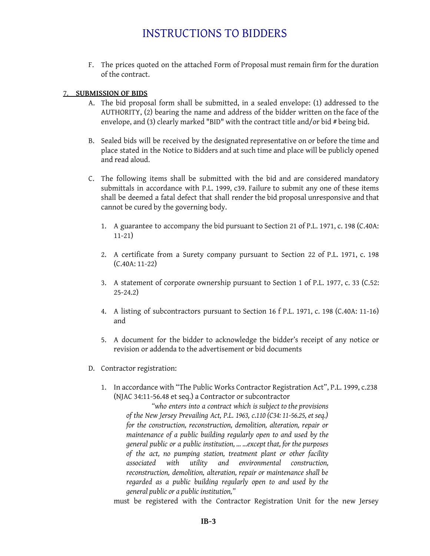F. The prices quoted on the attached Form of Proposal must remain firm for the duration of the contract.

#### 7. **SUBMISSION OF BIDS**

- A. The bid proposal form shall be submitted, in a sealed envelope: (1) addressed to the AUTHORITY, (2) bearing the name and address of the bidder written on the face of the envelope, and (3) clearly marked "BID" with the contract title and/or bid # being bid.
- B. Sealed bids will be received by the designated representative on or before the time and place stated in the Notice to Bidders and at such time and place will be publicly opened and read aloud.
- C. The following items shall be submitted with the bid and are considered mandatory submittals in accordance with P.L. 1999, c39. Failure to submit any one of these items shall be deemed a fatal defect that shall render the bid proposal unresponsive and that cannot be cured by the governing body.
	- 1. A guarantee to accompany the bid pursuant to Section 21 of P.L. 1971, c. 198 (C.40A: 11-21)
	- 2. A certificate from a Surety company pursuant to Section 22 of P.L. 1971, c. 198 (C.40A: 11-22)
	- 3. A statement of corporate ownership pursuant to Section 1 of P.L. 1977, c. 33 (C.52: 25-24.2)
	- 4. A listing of subcontractors pursuant to Section 16 f P.L. 1971, c. 198 (C.40A: 11-16) and
	- 5. A document for the bidder to acknowledge the bidder's receipt of any notice or revision or addenda to the advertisement or bid documents
- D. Contractor registration:
	- 1. In accordance with "The Public Works Contractor Registration Act", P.L. 1999, c.238 (NJAC 34:11-56.48 et seq.) a Contractor or subcontractor

*"who enters into a contract which is subject to the provisions of the New Jersey Prevailing Act, P.L. 1963, c.110 (C34: 11-56.25, et seq.) for the construction, reconstruction, demolition, alteration, repair or maintenance of a public building regularly open to and used by the general public or a public institution, … …except that, for the purposes of the act, no pumping station, treatment plant or other facility associated with utility and environmental construction, reconstruction, demolition, alteration, repair or maintenance shall be regarded as a public building regularly open to and used by the general public or a public institution,"*

must be registered with the Contractor Registration Unit for the new Jersey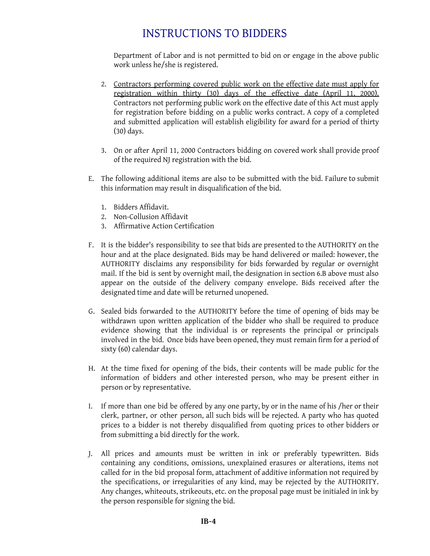Department of Labor and is not permitted to bid on or engage in the above public work unless he/she is registered.

- 2. Contractors performing covered public work on the effective date must apply for registration within thirty (30) days of the effective date (April 11, 2000). Contractors not performing public work on the effective date of this Act must apply for registration before bidding on a public works contract. A copy of a completed and submitted application will establish eligibility for award for a period of thirty (30) days.
- 3. On or after April 11, 2000 Contractors bidding on covered work shall provide proof of the required NJ registration with the bid.
- E. The following additional items are also to be submitted with the bid. Failure to submit this information may result in disqualification of the bid.
	- 1. Bidders Affidavit.
	- 2. Non-Collusion Affidavit
	- 3. Affirmative Action Certification
- F. It is the bidder's responsibility to see that bids are presented to the AUTHORITY on the hour and at the place designated. Bids may be hand delivered or mailed: however, the AUTHORITY disclaims any responsibility for bids forwarded by regular or overnight mail. If the bid is sent by overnight mail, the designation in section 6.B above must also appear on the outside of the delivery company envelope. Bids received after the designated time and date will be returned unopened.
- G. Sealed bids forwarded to the AUTHORITY before the time of opening of bids may be withdrawn upon written application of the bidder who shall be required to produce evidence showing that the individual is or represents the principal or principals involved in the bid. Once bids have been opened, they must remain firm for a period of sixty (60) calendar days.
- H. At the time fixed for opening of the bids, their contents will be made public for the information of bidders and other interested person, who may be present either in person or by representative.
- I. If more than one bid be offered by any one party, by or in the name of his /her or their clerk, partner, or other person, all such bids will be rejected. A party who has quoted prices to a bidder is not thereby disqualified from quoting prices to other bidders or from submitting a bid directly for the work.
- J. All prices and amounts must be written in ink or preferably typewritten. Bids containing any conditions, omissions, unexplained erasures or alterations, items not called for in the bid proposal form, attachment of additive information not required by the specifications, or irregularities of any kind, may be rejected by the AUTHORITY. Any changes, whiteouts, strikeouts, etc. on the proposal page must be initialed in ink by the person responsible for signing the bid.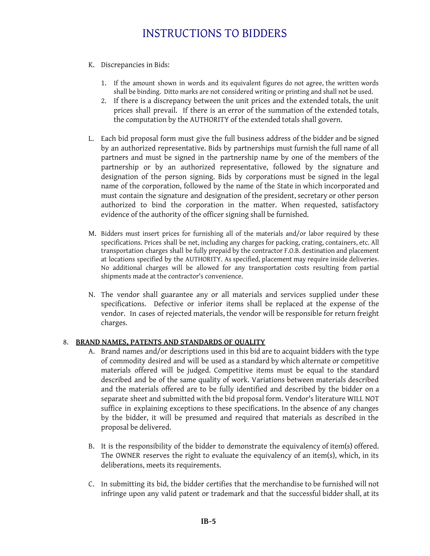- K. Discrepancies in Bids:
	- 1. If the amount shown in words and its equivalent figures do not agree, the written words shall be binding. Ditto marks are not considered writing or printing and shall not be used.
	- 2. If there is a discrepancy between the unit prices and the extended totals, the unit prices shall prevail. If there is an error of the summation of the extended totals, the computation by the AUTHORITY of the extended totals shall govern.
- L. Each bid proposal form must give the full business address of the bidder and be signed by an authorized representative. Bids by partnerships must furnish the full name of all partners and must be signed in the partnership name by one of the members of the partnership or by an authorized representative, followed by the signature and designation of the person signing. Bids by corporations must be signed in the legal name of the corporation, followed by the name of the State in which incorporated and must contain the signature and designation of the president, secretary or other person authorized to bind the corporation in the matter. When requested, satisfactory evidence of the authority of the officer signing shall be furnished.
- M. Bidders must insert prices for furnishing all of the materials and/or labor required by these specifications. Prices shall be net, including any charges for packing, crating, containers, etc. All transportation charges shall be fully prepaid by the contractor F.O.B. destination and placement at locations specified by the AUTHORITY. As specified, placement may require inside deliveries. No additional charges will be allowed for any transportation costs resulting from partial shipments made at the contractor's convenience.
- N. The vendor shall guarantee any or all materials and services supplied under these specifications. Defective or inferior items shall be replaced at the expense of the vendor. In cases of rejected materials, the vendor will be responsible for return freight charges.

### 8. **BRAND NAMES, PATENTS AND STANDARDS OF QUALITY**

- A. Brand names and/or descriptions used in this bid are to acquaint bidders with the type of commodity desired and will be used as a standard by which alternate or competitive materials offered will be judged. Competitive items must be equal to the standard described and be of the same quality of work. Variations between materials described and the materials offered are to be fully identified and described by the bidder on a separate sheet and submitted with the bid proposal form. Vendor's literature WILL NOT suffice in explaining exceptions to these specifications. In the absence of any changes by the bidder, it will be presumed and required that materials as described in the proposal be delivered.
- B. It is the responsibility of the bidder to demonstrate the equivalency of item(s) offered. The OWNER reserves the right to evaluate the equivalency of an item(s), which, in its deliberations, meets its requirements.
- C. In submitting its bid, the bidder certifies that the merchandise to be furnished will not infringe upon any valid patent or trademark and that the successful bidder shall, at its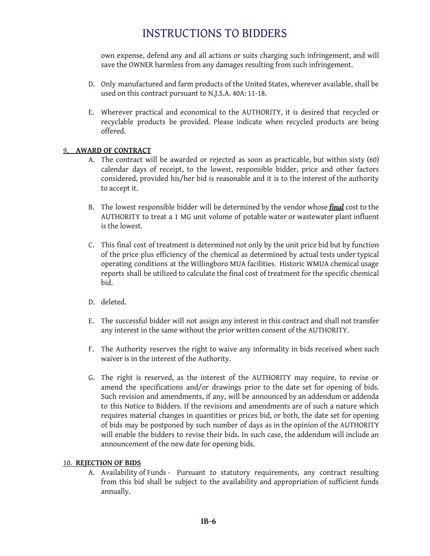own expense, defend any and all actions or suits charging such infringement, and will save the OWNER harmless from any damages resulting from such infringement.

- D. Only manufactured and farm products of the United States, wherever available, shall be used on this contract pursuant to N.J.S.A. 40A: 11-18.
- E. Wherever practical and economical to the AUTHORITY, it is desired that recycled or recyclable products be provided. Please indicate when recycled products are being offered.

### 9. **AWARD OF CONTRACT**

- A. The contract will be awarded or rejected as soon as practicable, but within sixty (60) calendar days of receipt, to the lowest, responsible bidder, price and other factors considered, provided his/her bid is reasonable and it is to the interest of the authority to accept it.
- B. The lowest responsible bidder will be determined by the vendor whose *final* cost to the AUTHORITY to treat a 1 MG unit volume of potable water or wastewater plant influent is the lowest.
- C. This final cost of treatment is determined not only by the unit price bid but by function of the price plus efficiency of the chemical as determined by actual tests under typical operating conditions at the Willingboro MUA facilities. Historic WMUA chemical usage reports shall be utilized to calculate the final cost of treatment for the specific chemical bid.
- D. deleted.
- E. The successful bidder will not assign any interest in this contract and shall not transfer any interest in the same without the prior written consent of the AUTHORITY.
- F. The Authority reserves the right to waive any informality in bids received when such waiver is in the interest of the Authority.
- G. The right is reserved, as the interest of the AUTHORITY may require, to revise or amend the specifications and/or drawings prior to the date set for opening of bids. Such revision and amendments, if any, will be announced by an addendum or addenda to this Notice to Bidders. If the revisions and amendments are of such a nature which requires material changes in quantities or prices bid, or both, the date set for opening of bids may be postponed by such number of days as in the opinion of the AUTHORITY will enable the bidders to revise their bids. In such case, the addendum will include an announcement of the new date for opening bids.

### 10. **REJECTION OF BIDS**

A. Availability of Funds - Pursuant to statutory requirements, any contract resulting from this bid shall be subject to the availability and appropriation of sufficient funds annually.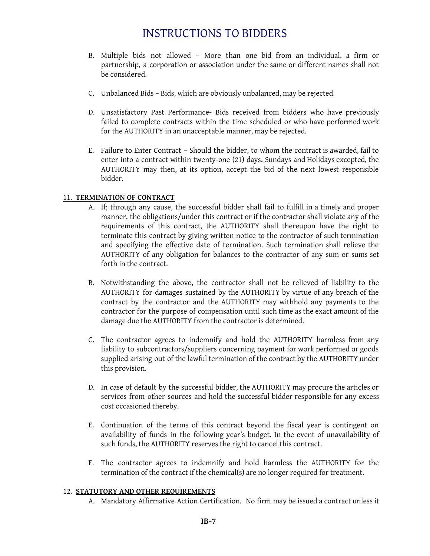- B. Multiple bids not allowed More than one bid from an individual, a firm or partnership, a corporation or association under the same or different names shall not be considered.
- C. Unbalanced Bids Bids, which are obviously unbalanced, may be rejected.
- D. Unsatisfactory Past Performance- Bids received from bidders who have previously failed to complete contracts within the time scheduled or who have performed work for the AUTHORITY in an unacceptable manner, may be rejected.
- E. Failure to Enter Contract Should the bidder, to whom the contract is awarded, fail to enter into a contract within twenty-one (21) days, Sundays and Holidays excepted, the AUTHORITY may then, at its option, accept the bid of the next lowest responsible bidder.

### 11. **TERMINATION OF CONTRACT**

- A. If; through any cause, the successful bidder shall fail to fulfill in a timely and proper manner, the obligations/under this contract or if the contractor shall violate any of the requirements of this contract, the AUTHORITY shall thereupon have the right to terminate this contract by giving written notice to the contractor of such termination and specifying the effective date of termination. Such termination shall relieve the AUTHORITY of any obligation for balances to the contractor of any sum or sums set forth in the contract.
- B. Notwithstanding the above, the contractor shall not be relieved of liability to the AUTHORITY for damages sustained by the AUTHORITY by virtue of any breach of the contract by the contractor and the AUTHORITY may withhold any payments to the contractor for the purpose of compensation until such time as the exact amount of the damage due the AUTHORITY from the contractor is determined.
- C. The contractor agrees to indemnify and hold the AUTHORITY harmless from any liability to subcontractors/suppliers concerning payment for work performed or goods supplied arising out of the lawful termination of the contract by the AUTHORITY under this provision.
- D. In case of default by the successful bidder, the AUTHORITY may procure the articles or services from other sources and hold the successful bidder responsible for any excess cost occasioned thereby.
- E. Continuation of the terms of this contract beyond the fiscal year is contingent on availability of funds in the following year's budget. In the event of unavailability of such funds, the AUTHORITY reserves the right to cancel this contract.
- F. The contractor agrees to indemnify and hold harmless the AUTHORITY for the termination of the contract if the chemical(s) are no longer required for treatment.

### 12. **STATUTORY AND OTHER REQUIREMENTS**

A. Mandatory Affirmative Action Certification. No firm may be issued a contract unless it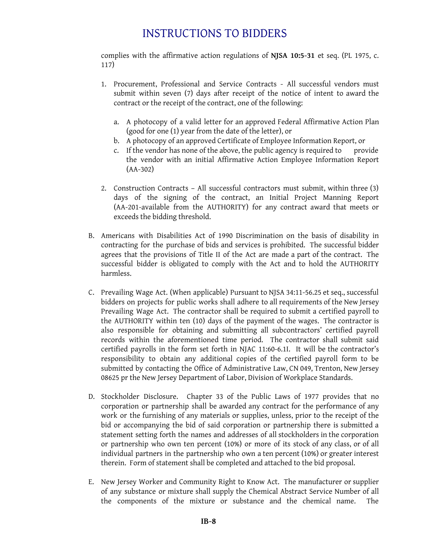complies with the affirmative action regulations of **NJSA 10:5-31** et seq. (PL 1975, c. 117)

- 1. Procurement, Professional and Service Contracts All successful vendors must submit within seven (7) days after receipt of the notice of intent to award the contract or the receipt of the contract, one of the following:
	- a. A photocopy of a valid letter for an approved Federal Affirmative Action Plan (good for one (1) year from the date of the letter), or
	- b. A photocopy of an approved Certificate of Employee Information Report, or
	- c. If the vendor has none of the above, the public agency is required to provide the vendor with an initial Affirmative Action Employee Information Report (AA-302)
- 2. Construction Contracts All successful contractors must submit, within three (3) days of the signing of the contract, an Initial Project Manning Report (AA-201-available from the AUTHORITY) for any contract award that meets or exceeds the bidding threshold.
- B. Americans with Disabilities Act of 1990 Discrimination on the basis of disability in contracting for the purchase of bids and services is prohibited. The successful bidder agrees that the provisions of Title II of the Act are made a part of the contract. The successful bidder is obligated to comply with the Act and to hold the AUTHORITY harmless.
- C. Prevailing Wage Act. (When applicable) Pursuant to NJSA 34:11-56.25 et seq., successful bidders on projects for public works shall adhere to all requirements of the New Jersey Prevailing Wage Act. The contractor shall be required to submit a certified payroll to the AUTHORITY within ten (10) days of the payment of the wages. The contractor is also responsible for obtaining and submitting all subcontractors' certified payroll records within the aforementioned time period. The contractor shall submit said certified payrolls in the form set forth in NJAC 11:60-6.1I. It will be the contractor's responsibility to obtain any additional copies of the certified payroll form to be submitted by contacting the Office of Administrative Law, CN 049, Trenton, New Jersey 08625 pr the New Jersey Department of Labor, Division of Workplace Standards.
- D. Stockholder Disclosure. Chapter 33 of the Public Laws of 1977 provides that no corporation or partnership shall be awarded any contract for the performance of any work or the furnishing of any materials or supplies, unless, prior to the receipt of the bid or accompanying the bid of said corporation or partnership there is submitted a statement setting forth the names and addresses of all stockholders in the corporation or partnership who own ten percent (10%) or more of its stock of any class, or of all individual partners in the partnership who own a ten percent (10%) or greater interest therein. Form of statement shall be completed and attached to the bid proposal.
- E. New Jersey Worker and Community Right to Know Act. The manufacturer or supplier of any substance or mixture shall supply the Chemical Abstract Service Number of all the components of the mixture or substance and the chemical name. The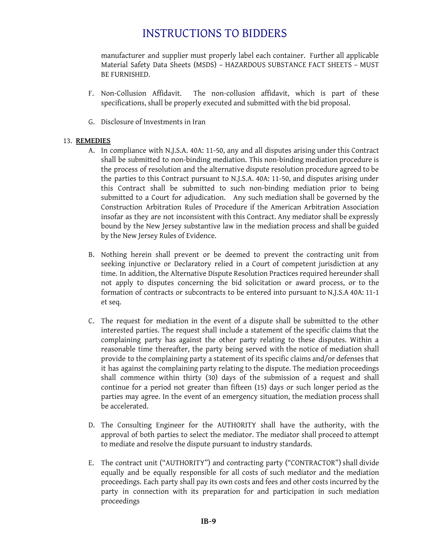manufacturer and supplier must properly label each container. Further all applicable Material Safety Data Sheets (MSDS) – HAZARDOUS SUBSTANCE FACT SHEETS – MUST BE FURNISHED.

- F. Non-Collusion Affidavit. The non-collusion affidavit, which is part of these specifications, shall be properly executed and submitted with the bid proposal.
- G. Disclosure of Investments in Iran

### 13. **REMEDIES**

- A. In compliance with N.J.S.A. 40A: 11-50, any and all disputes arising under this Contract shall be submitted to non-binding mediation. This non-binding mediation procedure is the process of resolution and the alternative dispute resolution procedure agreed to be the parties to this Contract pursuant to N.J.S.A. 40A: 11-50, and disputes arising under this Contract shall be submitted to such non-binding mediation prior to being submitted to a Court for adjudication. Any such mediation shall be governed by the Construction Arbitration Rules of Procedure if the American Arbitration Association insofar as they are not inconsistent with this Contract. Any mediator shall be expressly bound by the New Jersey substantive law in the mediation process and shall be guided by the New Jersey Rules of Evidence.
- B. Nothing herein shall prevent or be deemed to prevent the contracting unit from seeking injunctive or Declaratory relied in a Court of competent jurisdiction at any time. In addition, the Alternative Dispute Resolution Practices required hereunder shall not apply to disputes concerning the bid solicitation or award process, or to the formation of contracts or subcontracts to be entered into pursuant to N.J.S.A 40A: 11-1 et seq.
- C. The request for mediation in the event of a dispute shall be submitted to the other interested parties. The request shall include a statement of the specific claims that the complaining party has against the other party relating to these disputes. Within a reasonable time thereafter, the party being served with the notice of mediation shall provide to the complaining party a statement of its specific claims and/or defenses that it has against the complaining party relating to the dispute. The mediation proceedings shall commence within thirty (30) days of the submission of a request and shall continue for a period not greater than fifteen (15) days or such longer period as the parties may agree. In the event of an emergency situation, the mediation process shall be accelerated.
- D. The Consulting Engineer for the AUTHORITY shall have the authority, with the approval of both parties to select the mediator. The mediator shall proceed to attempt to mediate and resolve the dispute pursuant to industry standards.
- E. The contract unit ("AUTHORITY") and contracting party ("CONTRACTOR") shall divide equally and be equally responsible for all costs of such mediator and the mediation proceedings. Each party shall pay its own costs and fees and other costs incurred by the party in connection with its preparation for and participation in such mediation proceedings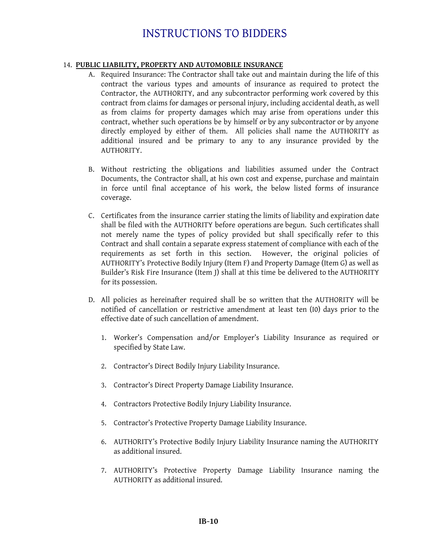### 14. **PUBLIC LIABILITY, PROPERTY AND AUTOMOBILE INSURANCE**

- A. Required Insurance: The Contractor shall take out and maintain during the life of this contract the various types and amounts of insurance as required to protect the Contractor, the AUTHORITY, and any subcontractor performing work covered by this contract from claims for damages or personal injury, including accidental death, as well as from claims for property damages which may arise from operations under this contract, whether such operations be by himself or by any subcontractor or by anyone directly employed by either of them. All policies shall name the AUTHORITY as additional insured and be primary to any to any insurance provided by the AUTHORITY.
- B. Without restricting the obligations and liabilities assumed under the Contract Documents, the Contractor shall, at his own cost and expense, purchase and maintain in force until final acceptance of his work, the below listed forms of insurance coverage.
- C. Certificates from the insurance carrier stating the limits of liability and expiration date shall be filed with the AUTHORITY before operations are begun. Such certificates shall not merely name the types of policy provided but shall specifically refer to this Contract and shall contain a separate express statement of compliance with each of the requirements as set forth in this section. However, the original policies of AUTHORITY's Protective Bodily Injury (Item F) and Property Damage (Item G) as well as Builder's Risk Fire Insurance (Item J) shall at this time be delivered to the AUTHORITY for its possession.
- D. All policies as hereinafter required shall be so written that the AUTHORITY will be notified of cancellation or restrictive amendment at least ten (I0) days prior to the effective date of such cancellation of amendment.
	- 1. Worker's Compensation and/or Employer's Liability Insurance as required or specified by State Law.
	- 2. Contractor's Direct Bodily Injury Liability Insurance.
	- 3. Contractor's Direct Property Damage Liability Insurance.
	- 4. Contractors Protective Bodily Injury Liability Insurance.
	- 5. Contractor's Protective Property Damage Liability Insurance.
	- 6. AUTHORITY's Protective Bodily Injury Liability Insurance naming the AUTHORITY as additional insured.
	- 7. AUTHORITY's Protective Property Damage Liability Insurance naming the AUTHORITY as additional insured.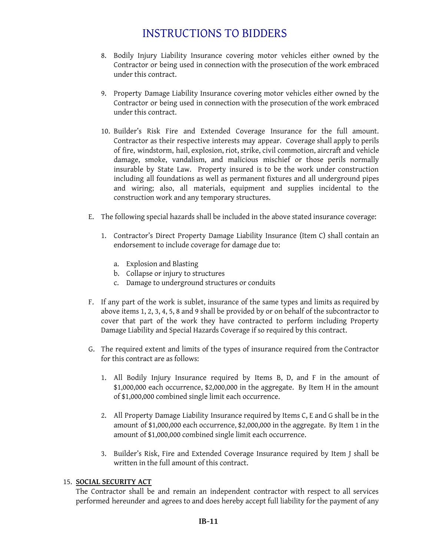- 8. Bodily Injury Liability Insurance covering motor vehicles either owned by the Contractor or being used in connection with the prosecution of the work embraced under this contract.
- 9. Property Damage Liability Insurance covering motor vehicles either owned by the Contractor or being used in connection with the prosecution of the work embraced under this contract.
- 10. Builder's Risk Fire and Extended Coverage Insurance for the full amount. Contractor as their respective interests may appear. Coverage shall apply to perils of fire, windstorm, hail, explosion, riot, strike, civil commotion, aircraft and vehicle damage, smoke, vandalism, and malicious mischief or those perils normally insurable by State Law. Property insured is to be the work under construction including all foundations as well as permanent fixtures and all underground pipes and wiring; also, all materials, equipment and supplies incidental to the construction work and any temporary structures.
- E. The following special hazards shall be included in the above stated insurance coverage:
	- 1. Contractor's Direct Property Damage Liability Insurance (Item C) shall contain an endorsement to include coverage for damage due to:
		- a. Explosion and Blasting
		- b. Collapse or injury to structures
		- c. Damage to underground structures or conduits
- F. If any part of the work is sublet, insurance of the same types and limits as required by above items 1, 2, 3, 4, 5, 8 and 9 shall be provided by or on behalf of the subcontractor to cover that part of the work they have contracted to perform including Property Damage Liability and Special Hazards Coverage if so required by this contract.
- G. The required extent and limits of the types of insurance required from the Contractor for this contract are as follows:
	- 1. All Bodily Injury Insurance required by Items B, D, and F in the amount of \$1,000,000 each occurrence, \$2,000,000 in the aggregate. By Item H in the amount of \$1,000,000 combined single limit each occurrence.
	- 2. All Property Damage Liability Insurance required by Items C, E and G shall be in the amount of \$1,000,000 each occurrence, \$2,000,000 in the aggregate. By Item 1 in the amount of \$1,000,000 combined single limit each occurrence.
	- 3. Builder's Risk, Fire and Extended Coverage Insurance required by Item J shall be written in the full amount of this contract.

### 15. **SOCIAL SECURITY ACT**

The Contractor shall be and remain an independent contractor with respect to all services performed hereunder and agrees to and does hereby accept full liability for the payment of any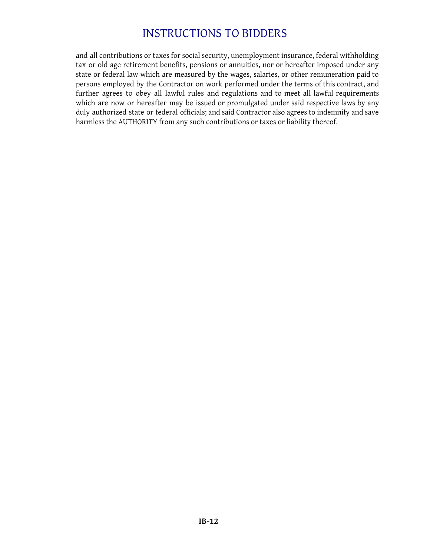and all contributions or taxes for social security, unemployment insurance, federal withholding tax or old age retirement benefits, pensions or annuities, nor or hereafter imposed under any state or federal law which are measured by the wages, salaries, or other remuneration paid to persons employed by the Contractor on work performed under the terms of this contract, and further agrees to obey all lawful rules and regulations and to meet all lawful requirements which are now or hereafter may be issued or promulgated under said respective laws by any duly authorized state or federal officials; and said Contractor also agrees to indemnify and save harmless the AUTHORITY from any such contributions or taxes or liability thereof.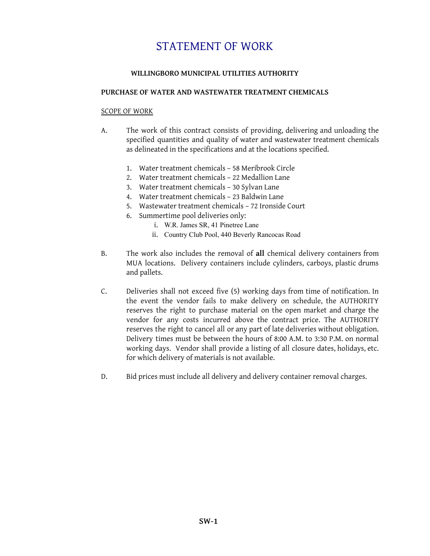# STATEMENT OF WORK

### **WILLINGBORO MUNICIPAL UTILITIES AUTHORITY**

### **PURCHASE OF WATER AND WASTEWATER TREATMENT CHEMICALS**

#### SCOPE OF WORK

- A. The work of this contract consists of providing, delivering and unloading the specified quantities and quality of water and wastewater treatment chemicals as delineated in the specifications and at the locations specified.
	- 1. Water treatment chemicals 58 Meribrook Circle
	- 2. Water treatment chemicals 22 Medallion Lane
	- 3. Water treatment chemicals 30 Sylvan Lane
	- 4. Water treatment chemicals 23 Baldwin Lane
	- 5. Wastewater treatment chemicals 72 Ironside Court
	- 6. Summertime pool deliveries only:
		- i. W.R. James SR, 41 Pinetree Lane
		- ii. Country Club Pool, 440 Beverly Rancocas Road
- B. The work also includes the removal of **all** chemical delivery containers from MUA locations. Delivery containers include cylinders, carboys, plastic drums and pallets.
- C. Deliveries shall not exceed five (5) working days from time of notification. In the event the vendor fails to make delivery on schedule, the AUTHORITY reserves the right to purchase material on the open market and charge the vendor for any costs incurred above the contract price. The AUTHORITY reserves the right to cancel all or any part of late deliveries without obligation. Delivery times must be between the hours of 8:00 A.M. to 3:30 P.M. on normal working days. Vendor shall provide a listing of all closure dates, holidays, etc. for which delivery of materials is not available.
- D. Bid prices must include all delivery and delivery container removal charges.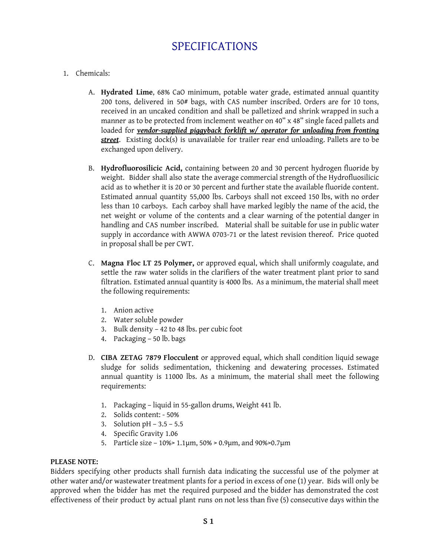### 1. Chemicals:

- A. **Hydrated Lime**, 68% CaO minimum, potable water grade, estimated annual quantity 200 tons, delivered in 50# bags, with CAS number inscribed. Orders are for 10 tons, received in an uncaked condition and shall be palletized and shrink wrapped in such a manner as to be protected from inclement weather on 40" x 48" single faced pallets and loaded for *vendor-supplied piggyback forklift w/ operator for unloading from fronting street*. Existing dock(s) is unavailable for trailer rear end unloading. Pallets are to be exchanged upon delivery.
- B. **Hydrofluorosilicic Acid,** containing between 20 and 30 percent hydrogen fluoride by weight. Bidder shall also state the average commercial strength of the Hydrofluosilicic acid as to whether it is 20 or 30 percent and further state the available fluoride content. Estimated annual quantity 55,000 lbs. Carboys shall not exceed 150 lbs, with no order less than 10 carboys. Each carboy shall have marked legibly the name of the acid, the net weight or volume of the contents and a clear warning of the potential danger in handling and CAS number inscribed. Material shall be suitable for use in public water supply in accordance with AWWA 0703-71 or the latest revision thereof. Price quoted in proposal shall be per CWT.
- C. **Magna Floc LT 25 Polymer,** or approved equal, which shall uniformly coagulate, and settle the raw water solids in the clarifiers of the water treatment plant prior to sand filtration. Estimated annual quantity is 4000 lbs. As a minimum, the material shall meet the following requirements:
	- 1. Anion active
	- 2. Water soluble powder
	- 3. Bulk density 42 to 48 lbs. per cubic foot
	- 4. Packaging 50 lb. bags
- D. **CIBA ZETAG 7879 Flocculent** or approved equal, which shall condition liquid sewage sludge for solids sedimentation, thickening and dewatering processes. Estimated annual quantity is 11000 lbs. As a minimum, the material shall meet the following requirements:
	- 1. Packaging liquid in 55-gallon drums, Weight 441 lb.
	- 2. Solids content: 50%
	- 3. Solution  $pH 3.5 5.5$
	- 4. Specific Gravity 1.06
	- 5. Particle size 10%> 1.1µm, 50% > 0.9µm, and 90%>0.7µm

### **PLEASE NOTE:**

Bidders specifying other products shall furnish data indicating the successful use of the polymer at other water and/or wastewater treatment plants for a period in excess of one (1) year. Bids will only be approved when the bidder has met the required purposed and the bidder has demonstrated the cost effectiveness of their product by actual plant runs on not less than five (5) consecutive days within the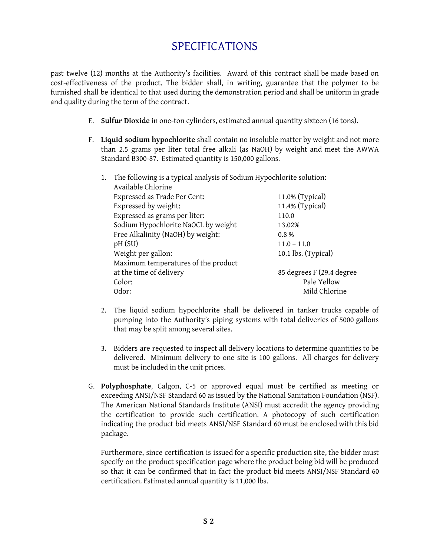past twelve (12) months at the Authority's facilities. Award of this contract shall be made based on cost-effectiveness of the product. The bidder shall, in writing, guarantee that the polymer to be furnished shall be identical to that used during the demonstration period and shall be uniform in grade and quality during the term of the contract.

- E. **Sulfur Dioxide** in one-ton cylinders, estimated annual quantity sixteen (16 tons).
- F. **Liquid sodium hypochlorite** shall contain no insoluble matter by weight and not more than 2.5 grams per liter total free alkali (as NaOH) by weight and meet the AWWA Standard B300-87. Estimated quantity is 150,000 gallons.
	- 1. The following is a typical analysis of Sodium Hypochlorite solution: Available Chlorine Expressed as Trade Per Cent: 11.0% (Typical) Expressed by weight: 11.4% (Typical) Expressed as grams per liter: 110.0 Sodium Hypochlorite NaOCL by weight 13.02% Free Alkalinity (NaOH) by weight: 0.8 % pH (SU) 11.0 – 11.0 Weight per gallon: 10.1 lbs. (Typical) Maximum temperatures of the product at the time of delivery 85 degrees F (29.4 degree Color: Pale Yellow Odor: Mild Chlorine
	- 2. The liquid sodium hypochlorite shall be delivered in tanker trucks capable of pumping into the Authority's piping systems with total deliveries of 5000 gallons that may be split among several sites.
	- 3. Bidders are requested to inspect all delivery locations to determine quantities to be delivered. Minimum delivery to one site is 100 gallons. All charges for delivery must be included in the unit prices.
- G. **Polyphosphate**, Calgon, C-5 or approved equal must be certified as meeting or exceeding ANSI/NSF Standard 60 as issued by the National Sanitation Foundation (NSF). The American National Standards Institute (ANSI) must accredit the agency providing the certification to provide such certification. A photocopy of such certification indicating the product bid meets ANSI/NSF Standard 60 must be enclosed with this bid package.

Furthermore, since certification is issued for a specific production site, the bidder must specify on the product specification page where the product being bid will be produced so that it can be confirmed that in fact the product bid meets ANSI/NSF Standard 60 certification. Estimated annual quantity is 11,000 lbs.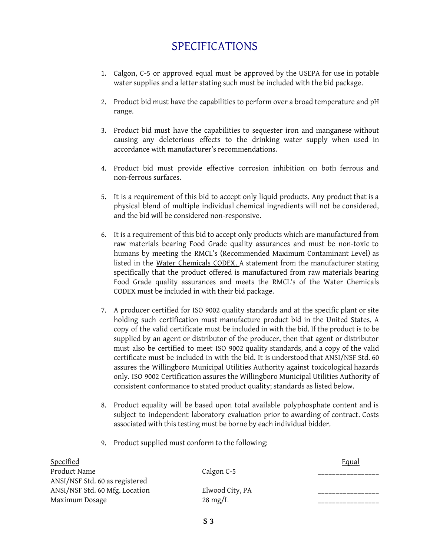- 1. Calgon, C-5 or approved equal must be approved by the USEPA for use in potable water supplies and a letter stating such must be included with the bid package.
- 2. Product bid must have the capabilities to perform over a broad temperature and pH range.
- 3. Product bid must have the capabilities to sequester iron and manganese without causing any deleterious effects to the drinking water supply when used in accordance with manufacturer's recommendations.
- 4. Product bid must provide effective corrosion inhibition on both ferrous and non-ferrous surfaces.
- 5. It is a requirement of this bid to accept only liquid products. Any product that is a physical blend of multiple individual chemical ingredients will not be considered, and the bid will be considered non-responsive.
- 6. It is a requirement of this bid to accept only products which are manufactured from raw materials bearing Food Grade quality assurances and must be non-toxic to humans by meeting the RMCL's (Recommended Maximum Contaminant Level) as listed in the Water Chemicals CODEX. A statement from the manufacturer stating specifically that the product offered is manufactured from raw materials bearing Food Grade quality assurances and meets the RMCL's of the Water Chemicals CODEX must be included in with their bid package.
- 7. A producer certified for ISO 9002 quality standards and at the specific plant or site holding such certification must manufacture product bid in the United States. A copy of the valid certificate must be included in with the bid. If the product is to be supplied by an agent or distributor of the producer, then that agent or distributor must also be certified to meet ISO 9002 quality standards, and a copy of the valid certificate must be included in with the bid. It is understood that ANSI/NSF Std. 60 assures the Willingboro Municipal Utilities Authority against toxicological hazards only. ISO 9002 Certification assures the Willingboro Municipal Utilities Authority of consistent conformance to stated product quality; standards as listed below.
- 8. Product equality will be based upon total available polyphosphate content and is subject to independent laboratory evaluation prior to awarding of contract. Costs associated with this testing must be borne by each individual bidder.
- 9. Product supplied must conform to the following:

| Specified                      |                   | <b>Equal</b> |
|--------------------------------|-------------------|--------------|
| Product Name                   | Calgon C-5        |              |
| ANSI/NSF Std. 60 as registered |                   |              |
| ANSI/NSF Std. 60 Mfg. Location | Elwood City, PA   |              |
| Maximum Dosage                 | $28 \text{ mg/L}$ |              |
|                                |                   |              |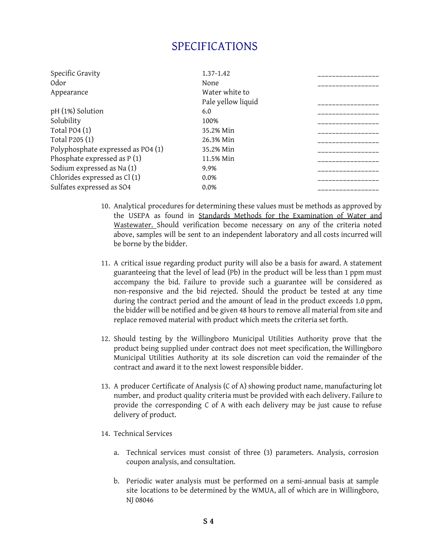| Specific Gravity                   | 1.37-1.42          |  |
|------------------------------------|--------------------|--|
| Odor                               | None               |  |
| Appearance                         | Water white to     |  |
|                                    | Pale yellow liquid |  |
| pH (1%) Solution                   | 6.0                |  |
| Solubility                         | 100%               |  |
| Total PO4 $(1)$                    | 35.2% Min          |  |
| Total P205 (1)                     | 26.3% Min          |  |
| Polyphosphate expressed as PO4 (1) | 35.2% Min          |  |
| Phosphate expressed as $P(1)$      | 11.5% Min          |  |
| Sodium expressed as Na (1)         | 9.9%               |  |
| Chlorides expressed as Cl(1)       | 0.0%               |  |
| Sulfates expressed as SO4          | 0.0%               |  |
|                                    |                    |  |

- 10. Analytical procedures for determining these values must be methods as approved by the USEPA as found in Standards Methods for the Examination of Water and Wastewater. Should verification become necessary on any of the criteria noted above, samples will be sent to an independent laboratory and all costs incurred will be borne by the bidder.
- 11. A critical issue regarding product purity will also be a basis for award. A statement guaranteeing that the level of lead (Pb) in the product will be less than 1 ppm must accompany the bid. Failure to provide such a guarantee will be considered as non-responsive and the bid rejected. Should the product be tested at any time during the contract period and the amount of lead in the product exceeds 1.0 ppm, the bidder will be notified and be given 48 hours to remove all material from site and replace removed material with product which meets the criteria set forth.
- 12. Should testing by the Willingboro Municipal Utilities Authority prove that the product being supplied under contract does not meet specification, the Willingboro Municipal Utilities Authority at its sole discretion can void the remainder of the contract and award it to the next lowest responsible bidder.
- 13. A producer Certificate of Analysis (C of A) showing product name, manufacturing lot number, and product quality criteria must be provided with each delivery. Failure to provide the corresponding C of A with each delivery may be just cause to refuse delivery of product.
- 14. Technical Services
	- a. Technical services must consist of three (3) parameters. Analysis, corrosion coupon analysis, and consultation.
	- b. Periodic water analysis must be performed on a semi-annual basis at sample site locations to be determined by the WMUA, all of which are in Willingboro, NJ 08046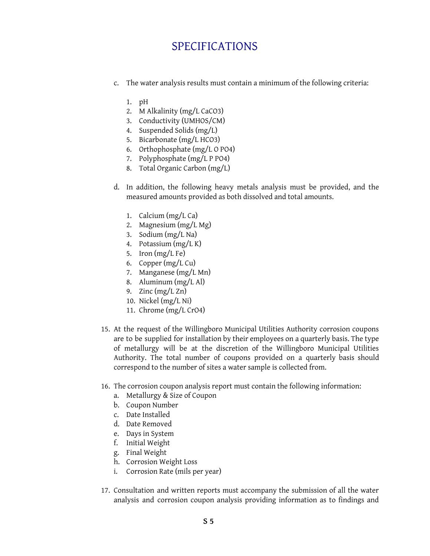- c. The water analysis results must contain a minimum of the following criteria:
	- 1. pH
	- 2. M Alkalinity (mg/L CaCO3)
	- 3. Conductivity (UMHOS/CM)
	- 4. Suspended Solids (mg/L)
	- 5. Bicarbonate (mg/L HCO3)
	- 6. Orthophosphate (mg/L O PO4)
	- 7. Polyphosphate (mg/L P PO4)
	- 8. Total Organic Carbon (mg/L)
- d. In addition, the following heavy metals analysis must be provided, and the measured amounts provided as both dissolved and total amounts.
	- 1. Calcium (mg/L Ca)
	- 2. Magnesium (mg/L Mg)
	- 3. Sodium (mg/L Na)
	- 4. Potassium (mg/L K)
	- 5. Iron (mg/L Fe)
	- 6. Copper (mg/L Cu)
	- 7. Manganese (mg/L Mn)
	- 8. Aluminum (mg/L Al)
	- 9. Zinc  $(mg/L Zn)$
	- 10. Nickel (mg/L Ni)
	- 11. Chrome (mg/L CrO4)
- 15. At the request of the Willingboro Municipal Utilities Authority corrosion coupons are to be supplied for installation by their employees on a quarterly basis. The type of metallurgy will be at the discretion of the Willingboro Municipal Utilities Authority. The total number of coupons provided on a quarterly basis should correspond to the number of sites a water sample is collected from.
- 16. The corrosion coupon analysis report must contain the following information:
	- a. Metallurgy & Size of Coupon
	- b. Coupon Number
	- c. Date Installed
	- d. Date Removed
	- e. Days in System
	- f. Initial Weight
	- g. Final Weight
	- h. Corrosion Weight Loss
	- i. Corrosion Rate (mils per year)
- 17. Consultation and written reports must accompany the submission of all the water analysis and corrosion coupon analysis providing information as to findings and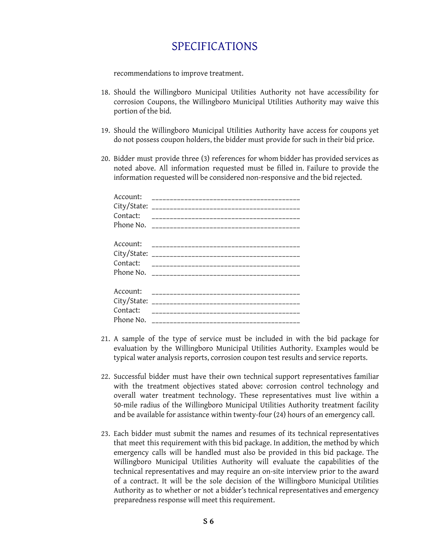recommendations to improve treatment.

- 18. Should the Willingboro Municipal Utilities Authority not have accessibility for corrosion Coupons, the Willingboro Municipal Utilities Authority may waive this portion of the bid.
- 19. Should the Willingboro Municipal Utilities Authority have access for coupons yet do not possess coupon holders, the bidder must provide for such in their bid price.
- 20. Bidder must provide three (3) references for whom bidder has provided services as noted above. All information requested must be filled in. Failure to provide the information requested will be considered non-responsive and the bid rejected.

| Account:<br>City/State:                          |  |
|--------------------------------------------------|--|
| Contact:                                         |  |
| Account:<br>City/State:<br>Contact:              |  |
| Account:<br>City/State:<br>Contact:<br>Phone No. |  |

- 21. A sample of the type of service must be included in with the bid package for evaluation by the Willingboro Municipal Utilities Authority. Examples would be typical water analysis reports, corrosion coupon test results and service reports.
- 22. Successful bidder must have their own technical support representatives familiar with the treatment objectives stated above: corrosion control technology and overall water treatment technology. These representatives must live within a 50-mile radius of the Willingboro Municipal Utilities Authority treatment facility and be available for assistance within twenty-four (24) hours of an emergency call.
- 23. Each bidder must submit the names and resumes of its technical representatives that meet this requirement with this bid package. In addition, the method by which emergency calls will be handled must also be provided in this bid package. The Willingboro Municipal Utilities Authority will evaluate the capabilities of the technical representatives and may require an on-site interview prior to the award of a contract. It will be the sole decision of the Willingboro Municipal Utilities Authority as to whether or not a bidder's technical representatives and emergency preparedness response will meet this requirement.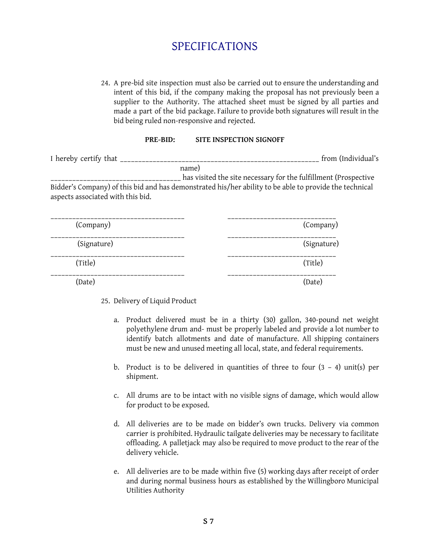24. A pre-bid site inspection must also be carried out to ensure the understanding and intent of this bid, if the company making the proposal has not previously been a supplier to the Authority. The attached sheet must be signed by all parties and made a part of the bid package. Failure to provide both signatures will result in the bid being ruled non-responsive and rejected.

#### **PRE-BID: SITE INSPECTION SIGNOFF**

| I hereby certify that _            |       | from (Individual's                                                                                     |  |
|------------------------------------|-------|--------------------------------------------------------------------------------------------------------|--|
|                                    | name) |                                                                                                        |  |
|                                    |       | has visited the site necessary for the fulfillment (Prospective                                        |  |
| aspects associated with this bid.  |       | Bidder's Company) of this bid and has demonstrated his/her ability to be able to provide the technical |  |
|                                    |       |                                                                                                        |  |
| $(\mathcal{C}_{\alpha m n q n v})$ |       | (Company)                                                                                              |  |

| (Company)   | (Company)   |
|-------------|-------------|
| (Signature) | (Signature) |
| (Title)     | (Title)     |
| (Date)      | (Date)      |

25. Delivery of Liquid Product

- a. Product delivered must be in a thirty (30) gallon, 340-pound net weight polyethylene drum and- must be properly labeled and provide a lot number to identify batch allotments and date of manufacture. All shipping containers must be new and unused meeting all local, state, and federal requirements.
- b. Product is to be delivered in quantities of three to four  $(3 4)$  unit(s) per shipment.
- c. All drums are to be intact with no visible signs of damage, which would allow for product to be exposed.
- d. All deliveries are to be made on bidder's own trucks. Delivery via common carrier is prohibited. Hydraulic tailgate deliveries may be necessary to facilitate offloading. A palletjack may also be required to move product to the rear of the delivery vehicle.
- e. All deliveries are to be made within five (5) working days after receipt of order and during normal business hours as established by the Willingboro Municipal Utilities Authority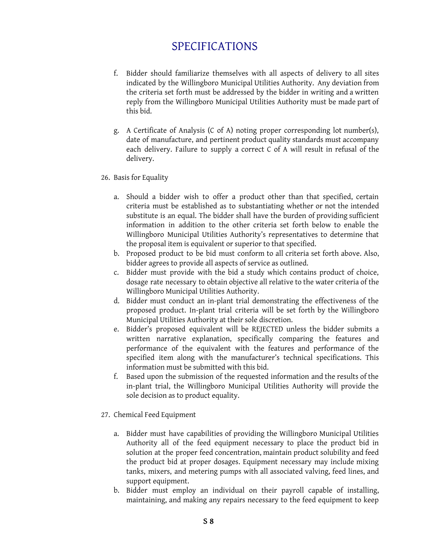- f. Bidder should familiarize themselves with all aspects of delivery to all sites indicated by the Willingboro Municipal Utilities Authority. Any deviation from the criteria set forth must be addressed by the bidder in writing and a written reply from the Willingboro Municipal Utilities Authority must be made part of this bid.
- g. A Certificate of Analysis (C of A) noting proper corresponding lot number(s), date of manufacture, and pertinent product quality standards must accompany each delivery. Failure to supply a correct C of A will result in refusal of the delivery.
- 26. Basis for Equality
	- a. Should a bidder wish to offer a product other than that specified, certain criteria must be established as to substantiating whether or not the intended substitute is an equal. The bidder shall have the burden of providing sufficient information in addition to the other criteria set forth below to enable the Willingboro Municipal Utilities Authority's representatives to determine that the proposal item is equivalent or superior to that specified.
	- b. Proposed product to be bid must conform to all criteria set forth above. Also, bidder agrees to provide all aspects of service as outlined.
	- c. Bidder must provide with the bid a study which contains product of choice, dosage rate necessary to obtain objective all relative to the water criteria of the Willingboro Municipal Utilities Authority.
	- d. Bidder must conduct an in-plant trial demonstrating the effectiveness of the proposed product. In-plant trial criteria will be set forth by the Willingboro Municipal Utilities Authority at their sole discretion.
	- e. Bidder's proposed equivalent will be REJECTED unless the bidder submits a written narrative explanation, specifically comparing the features and performance of the equivalent with the features and performance of the specified item along with the manufacturer's technical specifications. This information must be submitted with this bid.
	- f. Based upon the submission of the requested information and the results of the in-plant trial, the Willingboro Municipal Utilities Authority will provide the sole decision as to product equality.
- 27. Chemical Feed Equipment
	- a. Bidder must have capabilities of providing the Willingboro Municipal Utilities Authority all of the feed equipment necessary to place the product bid in solution at the proper feed concentration, maintain product solubility and feed the product bid at proper dosages. Equipment necessary may include mixing tanks, mixers, and metering pumps with all associated valving, feed lines, and support equipment.
	- b. Bidder must employ an individual on their payroll capable of installing, maintaining, and making any repairs necessary to the feed equipment to keep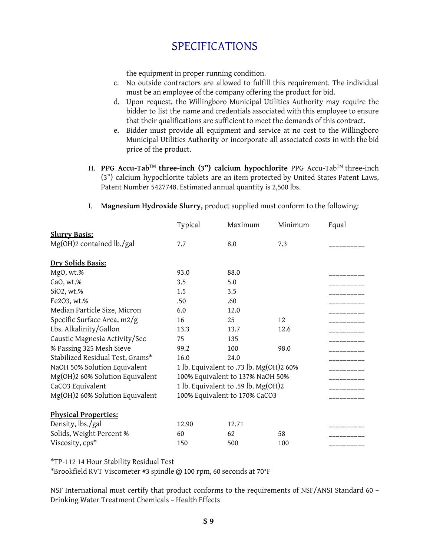the equipment in proper running condition.

- c. No outside contractors are allowed to fulfill this requirement. The individual must be an employee of the company offering the product for bid.
- d. Upon request, the Willingboro Municipal Utilities Authority may require the bidder to list the name and credentials associated with this employee to ensure that their qualifications are sufficient to meet the demands of this contract.
- e. Bidder must provide all equipment and service at no cost to the Willingboro Municipal Utilities Authority or incorporate all associated costs in with the bid price of the product.
- H. **PPG Accu-Tab TM three-inch (3") calcium hypochlorite** PPG Accu-Tab TM three-inch (3") calcium hypochlorite tablets are an item protected by United States Patent Laws, Patent Number 5427748. Estimated annual quantity is 2,500 lbs.

| Typical                             | Maximum | Minimum | Equal                                                                    |
|-------------------------------------|---------|---------|--------------------------------------------------------------------------|
|                                     |         |         |                                                                          |
| 7.7                                 | 8.0     | 7.3     |                                                                          |
|                                     |         |         |                                                                          |
| 93.0                                | 88.0    |         |                                                                          |
| 3.5                                 | 5.0     |         |                                                                          |
| 1.5                                 | 3.5     |         |                                                                          |
| .50                                 | .60     |         |                                                                          |
| 6.0                                 | 12.0    |         |                                                                          |
| 16                                  | 25      | 12      |                                                                          |
| 13.3                                | 13.7    | 12.6    |                                                                          |
| 75                                  | 135     |         |                                                                          |
| 99.2                                | 100     | 98.0    |                                                                          |
| 16.0                                | 24.0    |         |                                                                          |
|                                     |         |         |                                                                          |
| 100% Equivalent to 137% NaOH 50%    |         |         |                                                                          |
| 1 lb. Equivalent to .59 lb. Mg(OH)2 |         |         |                                                                          |
|                                     |         |         |                                                                          |
|                                     |         |         |                                                                          |
| 12.90                               | 12.71   |         |                                                                          |
| 60                                  | 62      | 58      |                                                                          |
| 150                                 | 500     | 100     |                                                                          |
|                                     |         |         | 1 lb. Equivalent to .73 lb. Mg(OH)2 60%<br>100% Equivalent to 170% CaCO3 |

I. **Magnesium Hydroxide Slurry,** product supplied must conform to the following:

\*TP-112 14 Hour Stability Residual Test

\*Brookfield RVT Viscometer #3 spindle @ 100 rpm, 60 seconds at 70°F

NSF International must certify that product conforms to the requirements of NSF/ANSI Standard 60 – Drinking Water Treatment Chemicals – Health Effects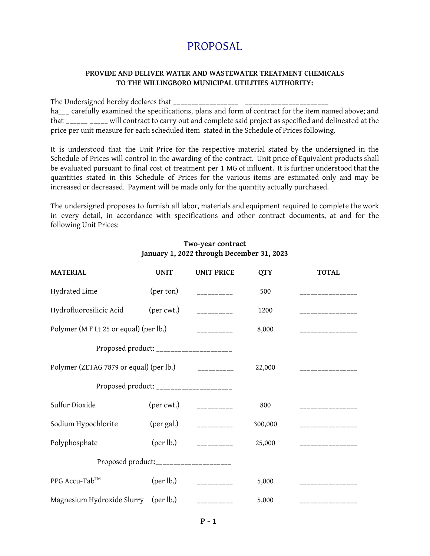### **PROVIDE AND DELIVER WATER AND WASTEWATER TREATMENT CHEMICALS TO THE WILLINGBORO MUNICIPAL UTILITIES AUTHORITY:**

The Undersigned hereby declares that \_\_\_\_\_\_\_\_\_\_\_\_\_\_\_\_\_\_ \_\_\_\_\_\_\_\_\_\_\_\_\_\_\_\_\_\_\_\_\_\_\_

ha\_\_\_ carefully examined the specifications, plans and form of contract for the item named above; and that \_\_\_\_\_\_ \_\_\_\_\_ will contract to carry out and complete said project as specified and delineated at the price per unit measure for each scheduled item stated in the Schedule of Prices following.

It is understood that the Unit Price for the respective material stated by the undersigned in the Schedule of Prices will control in the awarding of the contract. Unit price of Equivalent products shall be evaluated pursuant to final cost of treatment per 1 MG of influent. It is further understood that the quantities stated in this Schedule of Prices for the various items are estimated only and may be increased or decreased. Payment will be made only for the quantity actually purchased.

The undersigned proposes to furnish all labor, materials and equipment required to complete the work in every detail, in accordance with specifications and other contract documents, at and for the following Unit Prices:

### **Two-year contract January 1, 2022 through December 31, 2023**

| <b>MATERIAL</b>                                                    | <b>UNIT</b> | <b>UNIT PRICE</b>              | <b>QTY</b> | <b>TOTAL</b>      |
|--------------------------------------------------------------------|-------------|--------------------------------|------------|-------------------|
| Hydrated Lime                                                      | (per ton)   | __________                     | 500        |                   |
| Hydrofluorosilicic Acid                                            |             | $(\text{per cut.})$ __________ | 1200       | ----------------  |
| Polymer (M F Lt 25 or equal) (per lb.)                             |             | -----------                    | 8,000      | _________________ |
| Proposed product: _____________________                            |             |                                |            |                   |
| Polymer (ZETAG 7879 or equal) (per lb.) $\qquad \qquad$ __________ |             |                                | 22,000     |                   |
| Proposed product: _____________________                            |             |                                |            |                   |
| Sulfur Dioxide                                                     |             | $(\text{per cut.})$ __________ | 800        | ______________    |
| Sodium Hypochlorite                                                |             | $(\text{per gal.})$ __________ | 300,000    | ________________  |
| Polyphosphate                                                      |             | $(\text{per lb.})$ __________  | 25,000     | _________________ |
| Proposed product:_____________________                             |             |                                |            |                   |
| PPG Accu-Tab™                                                      |             | $(\text{per lb.})$ __________  | 5,000      | ______________    |
| Magnesium Hydroxide Slurry (per lb.) ___________                   |             |                                | 5,000      | _____________     |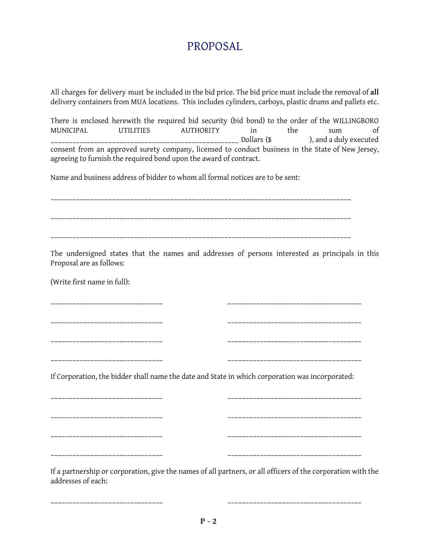All charges for delivery must be included in the bid price. The bid price must include the removal of **all** delivery containers from MUA locations. This includes cylinders, carboys, plastic drums and pallets etc.

There is enclosed herewith the required bid security (bid bond) to the order of the WILLINGBORO MUNICIPAL UTILITIES AUTHORITY in the sum of \_\_\_\_\_\_\_\_\_\_\_\_\_\_\_\_\_\_\_\_\_\_\_\_\_\_\_\_\_\_\_\_\_\_\_\_\_\_\_\_\_\_\_\_\_\_\_\_\_\_\_\_ Dollars (\$ ), and a duly executed consent from an approved surety company, licensed to conduct business in the State of New Jersey, agreeing to furnish the required bond upon the award of contract.

Name and business address of bidder to whom all formal notices are to be sent:

\_\_\_\_\_\_\_\_\_\_\_\_\_\_\_\_\_\_\_\_\_\_\_\_\_\_\_\_\_\_\_\_\_\_\_\_\_\_\_\_\_\_\_\_\_\_\_\_\_\_\_\_\_\_\_\_\_\_\_\_\_\_\_\_\_\_\_\_\_\_\_\_\_\_\_\_\_\_\_\_\_\_\_ \_\_\_\_\_\_\_\_\_\_\_\_\_\_\_\_\_\_\_\_\_\_\_\_\_\_\_\_\_\_\_\_\_\_\_\_\_\_\_\_\_\_\_\_\_\_\_\_\_\_\_\_\_\_\_\_\_\_\_\_\_\_\_\_\_\_\_\_\_\_\_\_\_\_\_\_\_\_\_\_\_\_\_

The undersigned states that the names and addresses of persons interested as principals in this Proposal are as follows:

(Write first name in full):

\_\_\_\_\_\_\_\_\_\_\_\_\_\_\_\_\_\_\_\_\_\_\_\_\_\_\_\_\_\_\_ \_\_\_\_\_\_\_\_\_\_\_\_\_\_\_\_\_\_\_\_\_\_\_\_\_\_\_\_\_\_\_\_\_\_\_\_\_ \_\_\_\_\_\_\_\_\_\_\_\_\_\_\_\_\_\_\_\_\_\_\_\_\_\_\_\_\_\_\_ \_\_\_\_\_\_\_\_\_\_\_\_\_\_\_\_\_\_\_\_\_\_\_\_\_\_\_\_\_\_\_\_\_\_\_\_\_

\_\_\_\_\_\_\_\_\_\_\_\_\_\_\_\_\_\_\_\_\_\_\_\_\_\_\_\_\_\_\_ \_\_\_\_\_\_\_\_\_\_\_\_\_\_\_\_\_\_\_\_\_\_\_\_\_\_\_\_\_\_\_\_\_\_\_\_\_

\_\_\_\_\_\_\_\_\_\_\_\_\_\_\_\_\_\_\_\_\_\_\_\_\_\_\_\_\_\_\_ \_\_\_\_\_\_\_\_\_\_\_\_\_\_\_\_\_\_\_\_\_\_\_\_\_\_\_\_\_\_\_\_\_\_\_\_\_

If Corporation, the bidder shall name the date and State in which corporation was incorporated:

\_\_\_\_\_\_\_\_\_\_\_\_\_\_\_\_\_\_\_\_\_\_\_\_\_\_\_\_\_\_\_ \_\_\_\_\_\_\_\_\_\_\_\_\_\_\_\_\_\_\_\_\_\_\_\_\_\_\_\_\_\_\_\_\_\_\_\_\_

\_\_\_\_\_\_\_\_\_\_\_\_\_\_\_\_\_\_\_\_\_\_\_\_\_\_\_\_\_\_\_ \_\_\_\_\_\_\_\_\_\_\_\_\_\_\_\_\_\_\_\_\_\_\_\_\_\_\_\_\_\_\_\_\_\_\_\_\_

\_\_\_\_\_\_\_\_\_\_\_\_\_\_\_\_\_\_\_\_\_\_\_\_\_\_\_\_\_\_\_ \_\_\_\_\_\_\_\_\_\_\_\_\_\_\_\_\_\_\_\_\_\_\_\_\_\_\_\_\_\_\_\_\_\_\_\_\_ \_\_\_\_\_\_\_\_\_\_\_\_\_\_\_\_\_\_\_\_\_\_\_\_\_\_\_\_\_\_\_ \_\_\_\_\_\_\_\_\_\_\_\_\_\_\_\_\_\_\_\_\_\_\_\_\_\_\_\_\_\_\_\_\_\_\_\_\_

If a partnership or corporation, give the names of all partners, or all officers of the corporation with the addresses of each:

\_\_\_\_\_\_\_\_\_\_\_\_\_\_\_\_\_\_\_\_\_\_\_\_\_\_\_\_\_\_\_ \_\_\_\_\_\_\_\_\_\_\_\_\_\_\_\_\_\_\_\_\_\_\_\_\_\_\_\_\_\_\_\_\_\_\_\_\_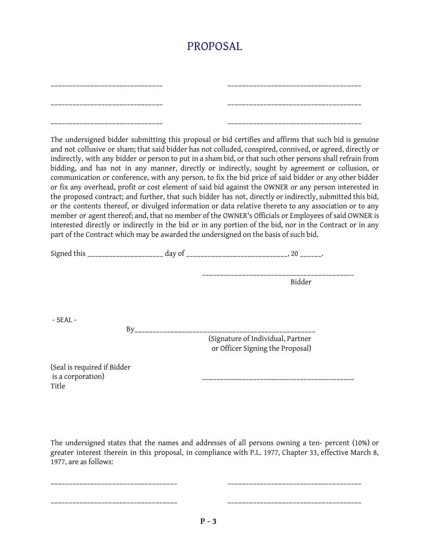| _________________________________ |  |
|-----------------------------------|--|
| _________________________________ |  |
| _________________________________ |  |

The undersigned bidder submitting this proposal or bid certifies and affirms that such bid is genuine and not collusive or sham; that said bidder has not colluded, conspired, connived, or agreed, directly or indirectly, with any bidder or person to put in a sham bid, or that such other persons shall refrain from bidding, and has not in any manner, directly or indirectly, sought by agreement or collusion, or communication or conference, with any person, to fix the bid price of said bidder or any other bidder or fix any overhead, profit or cost element of said bid against the OWNER or any person interested in the proposed contract; and further, that such bidder has not, directly or indirectly, submitted this bid, or the contents thereof, or divulged information or data relative thereto to any association or to any member or agent thereof; and, that no member of the OWNER's Officials or Employees of said OWNER is interested directly or indirectly in the bid or in any portion of the bid, nor in the Contract or in any part of the Contract which may be awarded the undersigned on the basis of such bid.

|                                                           |    | Bidder                                                                |
|-----------------------------------------------------------|----|-----------------------------------------------------------------------|
| $-$ SEAL $-$                                              |    |                                                                       |
|                                                           | By | (Signature of Individual, Partner<br>or Officer Signing the Proposal) |
| (Seal is required if Bidder<br>is a corporation)<br>Title |    |                                                                       |

The undersigned states that the names and addresses of all persons owning a ten- percent (10%) or greater interest therein in this proposal, in compliance with P.L. 1977, Chapter 33, effective March 8, 1977, are as follows:

\_\_\_\_\_\_\_\_\_\_\_\_\_\_\_\_\_\_\_\_\_\_\_\_\_\_\_\_\_\_\_\_\_\_\_ \_\_\_\_\_\_\_\_\_\_\_\_\_\_\_\_\_\_\_\_\_\_\_\_\_\_\_\_\_\_\_\_\_\_\_\_\_ \_\_\_\_\_\_\_\_\_\_\_\_\_\_\_\_\_\_\_\_\_\_\_\_\_\_\_\_\_\_\_\_\_\_\_ \_\_\_\_\_\_\_\_\_\_\_\_\_\_\_\_\_\_\_\_\_\_\_\_\_\_\_\_\_\_\_\_\_\_\_\_\_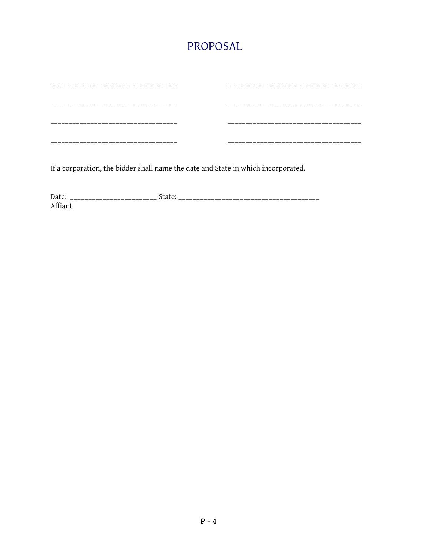If a corporation, the bidder shall name the date and State in which incorporated.

Affiant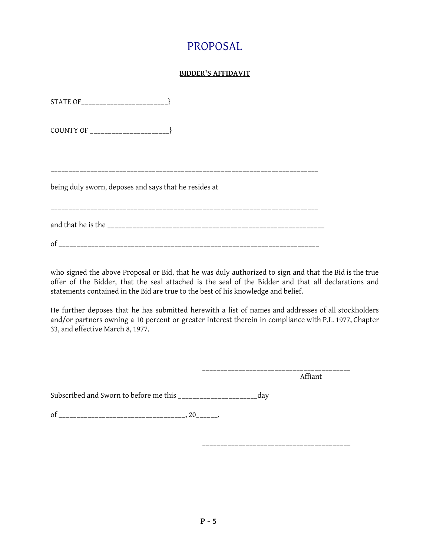### **BIDDER'S AFFIDAVIT**

| being duly sworn, deposes and says that he resides at |
|-------------------------------------------------------|
|                                                       |
| <sub>of</sub>                                         |

who signed the above Proposal or Bid, that he was duly authorized to sign and that the Bid is the true offer of the Bidder, that the seal attached is the seal of the Bidder and that all declarations and statements contained in the Bid are true to the best of his knowledge and belief.

He further deposes that he has submitted herewith a list of names and addresses of all stockholders and/or partners owning a 10 percent or greater interest therein in compliance with P.L. 1977, Chapter 33, and effective March 8, 1977.

> \_\_\_\_\_\_\_\_\_\_\_\_\_\_\_\_\_\_\_\_\_\_\_\_\_\_\_\_\_\_\_\_\_\_\_\_\_\_\_\_\_ Affiant

Subscribed and Sworn to before me this \_\_\_\_\_\_\_\_\_\_\_\_\_\_\_\_\_\_\_\_\_\_day

of \_\_\_\_\_\_\_\_\_\_\_\_\_\_\_\_\_\_\_\_\_\_\_\_\_\_\_\_\_\_\_\_\_\_\_, 20\_\_\_\_\_\_\_.

\_\_\_\_\_\_\_\_\_\_\_\_\_\_\_\_\_\_\_\_\_\_\_\_\_\_\_\_\_\_\_\_\_\_\_\_\_\_\_\_\_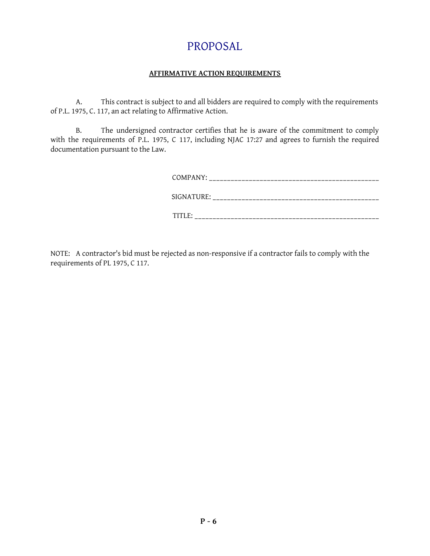### **AFFIRMATIVE ACTION REQUIREMENTS**

A. This contract is subject to and all bidders are required to comply with the requirements of P.L. 1975, C. 117, an act relating to Affirmative Action.

B. The undersigned contractor certifies that he is aware of the commitment to comply with the requirements of P.L. 1975, C 117, including NJAC 17:27 and agrees to furnish the required documentation pursuant to the Law.

| COMPANY: ______________________________                                                                                   |
|---------------------------------------------------------------------------------------------------------------------------|
| SIGNATURE: _____________________________                                                                                  |
| TITLE:<br>the contract of the contract of the contract of the contract of the contract of the contract of the contract of |

NOTE: A contractor's bid must be rejected as non-responsive if a contractor fails to comply with the requirements of PL 1975, C 117.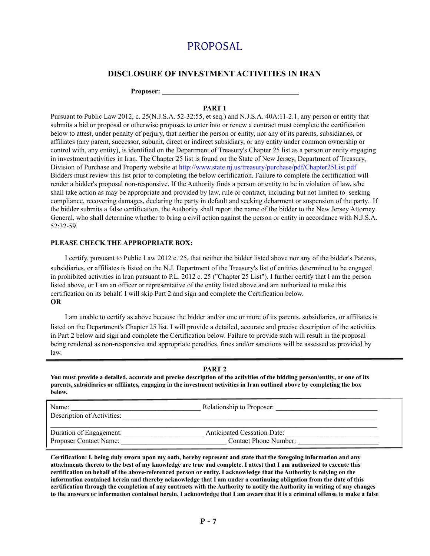### **DISCLOSURE OF INVESTMENT ACTIVITIES IN IRAN**

**Proposer: \_\_\_\_\_\_\_\_\_\_\_\_\_\_\_\_\_\_\_\_\_\_\_\_\_\_\_\_\_\_\_\_\_\_\_\_\_\_\_**

#### **PART 1**

Pursuant to Public Law 2012, c. 25(N.J.S.A. 52-32:55, et seq.) and N.J.S.A. 40A:11-2.1, any person or entity that submits a bid or proposal or otherwise proposes to enter into or renew a contract must complete the certification below to attest, under penalty of perjury, that neither the person or entity, nor any of its parents, subsidiaries, or affiliates (any parent, successor, subunit, direct or indirect subsidiary, or any entity under common ownership or control with, any entity), is identified on the Department of Treasury's Chapter 25 list as a person or entity engaging in investment activities in Iran. The Chapter 25 list is found on the State of New Jersey, Department of Treasury, Division of Purchase and Property website at http://www.state.nj.us/treasury/purchase/pdf/Chapter25List.pdf Bidders must review this list prior to completing the below certification. Failure to complete the certification will render a bidder's proposal non-responsive. If the Authority finds a person or entity to be in violation of law, s/he shall take action as may be appropriate and provided by law, rule or contract, including but not limited to seeking compliance, recovering damages, declaring the party in default and seeking debarment or suspension of the party. If the bidder submits a false certification, the Authority shall report the name of the bidder to the New Jersey Attorney General, who shall determine whether to bring a civil action against the person or entity in accordance with N.J.S.A. 52:32-59.

#### **PLEASE CHECK THE APPROPRIATE BOX:**

I certify, pursuant to Public Law 2012 c. 25, that neither the bidder listed above nor any of the bidder's Parents, subsidiaries, or affiliates is listed on the N.J. Department of the Treasury's list of entities determined to be engaged in prohibited activities in Iran pursuant to P.L. 2012 c. 25 ("Chapter 25 List"). I further certify that I am the person listed above, or I am an officer or representative of the entity listed above and am authorized to make this certification on its behalf. I will skip Part 2 and sign and complete the Certification below. **OR**

I am unable to certify as above because the bidder and/or one or more of its parents, subsidiaries, or affiliates is listed on the Department's Chapter 25 list. I will provide a detailed, accurate and precise description of the activities in Part 2 below and sign and complete the Certification below. Failure to provide such will result in the proposal being rendered as non-responsive and appropriate penalties, fines and/or sanctions will be assessed as provided by law.

#### **PART 2**

**You must provide a detailed, accurate and precise description of the activities of the bidding person/entity, or one of its parents, subsidiaries or affiliates, engaging in the investment activities in Iran outlined above by completing the box below.**

| Name:<br>Description of Activities: | Relationship to Proposer:          |
|-------------------------------------|------------------------------------|
| Duration of Engagement:             | <b>Anticipated Cessation Date:</b> |
| Proposer Contact Name:              | Contact Phone Number:              |

**Certification: I, being duly sworn upon my oath, hereby represent and state that the foregoing information and any attachments thereto to the best of my knowledge are true and complete. I attest that I am authorized to execute this certification on behalf of the above-referenced person or entity. I acknowledge that the Authority is relying on the information contained herein and thereby acknowledge that I am under a continuing obligation from the date of this certification through the completion of any contracts with the Authority to notify the Authority in writing of any changes to the answers or information contained herein. I acknowledge that I am aware that it is a criminal offense to make a false**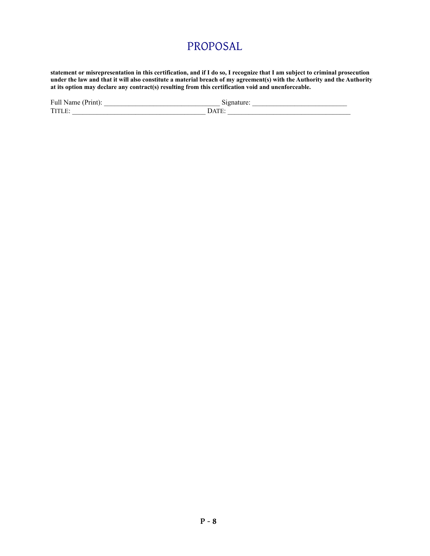**statement or misrepresentation in this certification, and if I do so, I recognize that I am subject to criminal prosecution under the law and that it will also constitute a material breach of my agreement(s) with the Authority and the Authority at its option may declare any contract(s) resulting from this certification void and unenforceable.**

| Full Name (Print): | Signature:                                            |
|--------------------|-------------------------------------------------------|
| TITLE:             | $\blacksquare$ ) $\Delta \text{TF}$ .<br>1 <b>.</b> . |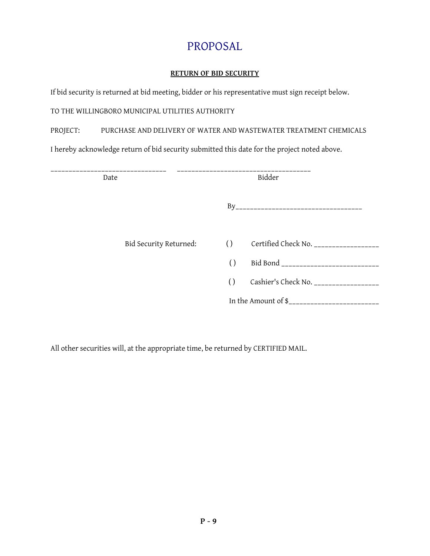### **RETURN OF BID SECURITY**

If bid security is returned at bid meeting, bidder or his representative must sign receipt below.

TO THE WILLINGBORO MUNICIPAL UTILITIES AUTHORITY

PROJECT: PURCHASE AND DELIVERY OF WATER AND WASTEWATER TREATMENT CHEMICALS

I hereby acknowledge return of bid security submitted this date for the project noted above.

| Bidder<br>Date                                                                      |  |
|-------------------------------------------------------------------------------------|--|
|                                                                                     |  |
| Certified Check No. _________________<br>$\left( \right)$<br>Bid Security Returned: |  |
| $\left( \right)$                                                                    |  |
| Cashier's Check No. __________________<br>$\left( \right)$                          |  |
|                                                                                     |  |

All other securities will, at the appropriate time, be returned by CERTIFIED MAIL.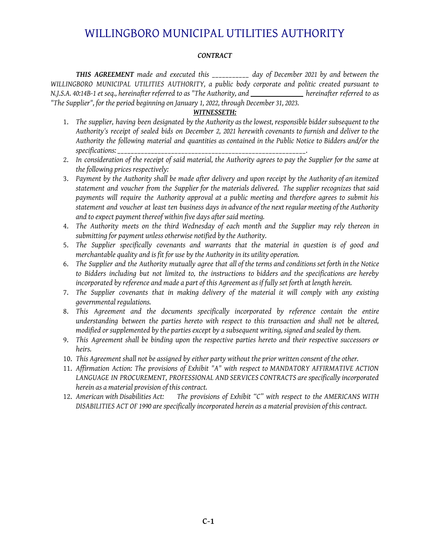#### *CONTRACT*

*THIS AGREEMENT made and executed this \_\_\_\_\_\_\_\_\_\_\_ day of December 2021 by and between the WILLINGBORO MUNICIPAL UTILITIES AUTHORITY, a public body corporate and politic created pursuant to N.J.S.A. 40:14B-1 et seq., hereinafter referred to as "The Authority, and hereinafter referred to as "The Supplier", for the period beginning on January 1, 2022, through December 31, 2023.*

#### *WITNESSETH:*

- 1. *The supplier, having been designated by the Authority as the lowest, responsible bidder subsequent to the Authority's receipt of sealed bids on December 2, 2021 herewith covenants to furnish and deliver to the Authority the following material and quantities as contained in the Public Notice to Bidders and/or the specifications: \_\_\_\_\_\_\_\_\_\_\_\_\_\_\_\_\_\_\_\_\_\_\_\_\_\_\_\_\_\_\_\_\_\_\_\_\_\_\_\_\_\_\_\_\_\_\_\_\_\_\_\_\_\_\_\_.*
- 2. In consideration of the receipt of said material, the Authority agrees to pay the Supplier for the same at *the following prices respectively:*
- 3. Payment by the Authority shall be made after delivery and upon receipt by the Authority of an itemized *statement and voucher from the Supplier for the materials delivered. The supplier recognizes that said payments will require the Authority approval at a public meeting and therefore agrees to submit his* statement and voucher at least ten business days in advance of the next regular meeting of the Authority *and to expect payment thereof within five days after said meeting.*
- 4. *The Authority meets on the third Wednesday of each month and the Supplier may rely thereon in submitting for payment unless otherwise notified by the Authority.*
- 5. *The Supplier specifically covenants and warrants that the material in question is of good and merchantable quality and is fit for use by the Authority in its utility operation.*
- 6. The Supplier and the Authority mutually agree that all of the terms and conditions set forth in the Notice *to Bidders including but not limited to, the instructions to bidders and the specifications are hereby* incorporated by reference and made a part of this Agreement as if fully set forth at length herein.
- 7. *The Supplier covenants that in making delivery of the material it will comply with any existing governmental regulations.*
- 8. *This Agreement and the documents specifically incorporated by reference contain the entire understanding between the parties hereto with respect to this transaction and shall not be altered, modified or supplemented by the parties except by a subsequent writing, signed and sealed by them.*
- 9. *This Agreement shall be binding upon the respective parties hereto and their respective successors or heirs.*
- 10. *This Agreement shall not be assigned by either party without the prior written consent of the other.*
- 11. *Affirmation Action: The provisions of Exhibit "A" with respect to MANDATORY AFFIRMATIVE ACTION LANGUAGE IN PROCUREMENT, PROFESSIONAL AND SERVICES CONTRACTS are specifically incorporated herein as a material provision of this contract.*
- 12. *American with Disabilities Act: The provisions of Exhibit "C" with respect to the AMERICANS WITH DISABILITIES ACT OF 1990 are specifically incorporated herein as a material provision of this contract.*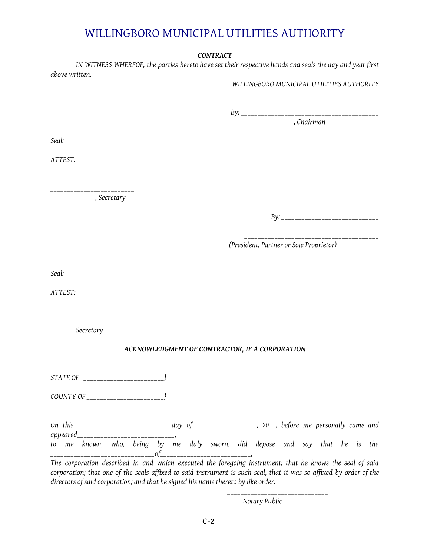#### *CONTRACT*

IN WITNESS WHEREOF, the parties hereto have set their respective hands and seals the day and year first *above written.*

*WILLINGBORO MUNICIPAL UTILITIES AUTHORITY*

*By: \_\_\_\_\_\_\_\_\_\_\_\_\_\_\_\_\_\_\_\_\_\_\_\_\_\_\_\_\_\_\_\_\_\_\_\_\_\_\_\_\_*

*, Chairman*

*Seal:*

*ATTEST:*

*\_\_\_\_\_\_\_\_\_\_\_\_\_\_\_\_\_\_\_\_\_\_\_\_\_ , Secretary*

*By: \_\_\_\_\_\_\_\_\_\_\_\_\_\_\_\_\_\_\_\_\_\_\_\_\_\_\_\_\_*

*\_\_\_\_\_\_\_\_\_\_\_\_\_\_\_\_\_\_\_\_\_\_\_\_\_\_\_\_\_\_\_\_\_\_\_\_\_\_\_\_*

*(President, Partner or Sole Proprietor)*

*Seal:*

*ATTEST:*

*\_\_\_\_\_\_\_\_\_\_\_\_\_\_\_\_\_\_\_\_\_\_\_\_\_\_\_ Secretary*

### *ACKNOWLEDGMENT OF CONTRACTOR, IF A CORPORATION*

*STATE OF \_\_\_\_\_\_\_\_\_\_\_\_\_\_\_\_\_\_\_\_\_\_\_\_}*

*COUNTY OF \_\_\_\_\_\_\_\_\_\_\_\_\_\_\_\_\_\_\_\_\_\_\_}*

*On this \_\_\_\_\_\_\_\_\_\_\_\_\_\_\_\_\_\_\_\_\_\_\_\_\_\_\_\_day of \_\_\_\_\_\_\_\_\_\_\_\_\_\_\_\_\_\_, 20\_\_, before me personally came and appeared\_\_\_\_\_\_\_\_\_\_\_\_\_\_\_\_\_\_\_\_\_\_\_\_\_\_\_\_\_, to me known, who, being by me duly sworn, did depose and say that he is the \_\_\_\_\_\_\_\_\_\_\_\_\_\_\_\_\_\_\_\_\_\_\_\_\_\_\_\_\_\_\_of\_\_\_\_\_\_\_\_\_\_\_\_\_\_\_\_\_\_\_\_\_\_\_\_\_\_\_, The corporation described in and which executed the foregoing instrument; that he knows the seal of said* corporation; that one of the seals affixed to said instrument is such seal, that it was so affixed by order of the *directors of said corporation; and that he signed his name thereto by like order.*

> *\_\_\_\_\_\_\_\_\_\_\_\_\_\_\_\_\_\_\_\_\_\_\_\_\_\_\_\_\_\_ Notary Public*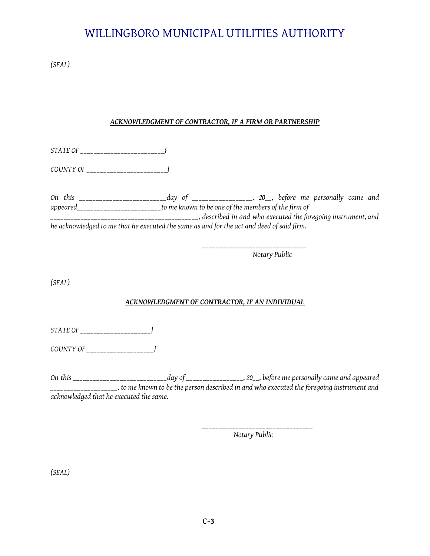*(SEAL)*

### *ACKNOWLEDGMENT OF CONTRACTOR, IF A FIRM OR PARTNERSHIP*

*STATE OF \_\_\_\_\_\_\_\_\_\_\_\_\_\_\_\_\_\_\_\_\_\_\_\_\_}*

*COUNTY OF \_\_\_\_\_\_\_\_\_\_\_\_\_\_\_\_\_\_\_\_\_\_\_\_}*

*On this \_\_\_\_\_\_\_\_\_\_\_\_\_\_\_\_\_\_\_\_\_\_\_\_\_\_day of \_\_\_\_\_\_\_\_\_\_\_\_\_\_\_\_\_\_, 20\_\_, before me personally came and appeared\_\_\_\_\_\_\_\_\_\_\_\_\_\_\_\_\_\_\_\_\_\_\_\_\_to me known to be one of the members of the firm of \_\_\_\_\_\_\_\_\_\_\_\_\_\_\_\_\_\_\_\_\_\_\_\_\_\_\_\_\_\_\_\_\_\_\_\_\_\_\_\_\_\_\_\_, described in and who executed the foregoing instrument, and he acknowledged to me that he executed the same as and for the act and deed of said firm.*

> *\_\_\_\_\_\_\_\_\_\_\_\_\_\_\_\_\_\_\_\_\_\_\_\_\_\_\_\_\_\_\_ Notary Public*

*(SEAL)*

### *ACKNOWLEDGMENT OF CONTRACTOR, IF AN INDIVIDUAL*

*STATE OF \_\_\_\_\_\_\_\_\_\_\_\_\_\_\_\_\_\_\_\_\_}*

*COUNTY OF \_\_\_\_\_\_\_\_\_\_\_\_\_\_\_\_\_\_\_\_}*

*On this \_\_\_\_\_\_\_\_\_\_\_\_\_\_\_\_\_\_\_\_\_\_\_\_\_\_\_\_day of \_\_\_\_\_\_\_\_\_\_\_\_\_\_\_\_\_, 20\_\_, before me personally came and appeared* \_\_\_\_\_\_\_\_\_\_\_\_\_\_\_\_\_\_\_\_, to me known to be the person described in and who executed the foregoing instrument and *acknowledged that he executed the same.*

> *\_\_\_\_\_\_\_\_\_\_\_\_\_\_\_\_\_\_\_\_\_\_\_\_\_\_\_\_\_\_\_\_\_ Notary Public*

*(SEAL)*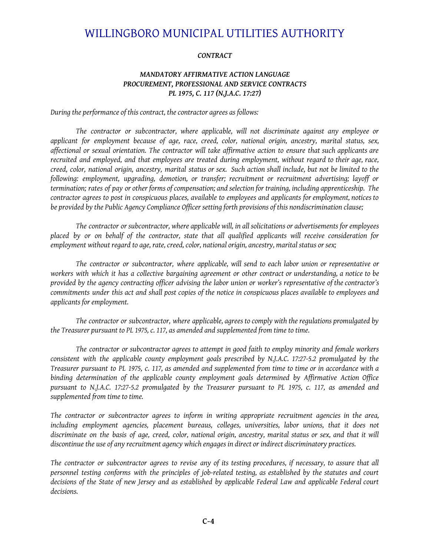#### *CONTRACT*

### *MANDATORY AFFIRMATIVE ACTION LANGUAGE PROCUREMENT, PROFESSIONAL AND SERVICE CONTRACTS PL 1975, C. 117 (N.J.A.C. 17:27)*

*During the performance of this contract, the contractor agrees as follows:*

*The contractor or subcontractor, where applicable, will not discriminate against any employee or applicant for employment because of age, race, creed, color, national origin, ancestry, marital status, sex,* affectional or sexual orientation. The contractor will take affirmative action to ensure that such applicants are *recruited and employed, and that employees are treated during employment, without regard to their age, race,* creed, color, national origin, ancestry, marital status or sex. Such action shall include, but not be limited to the *following: employment, upgrading, demotion, or transfer; recruitment or recruitment advertising; layoff or* termination; rates of pay or other forms of compensation; and selection for training, including apprenticeship. The contractor agrees to post in conspicuous places, available to employees and applicants for employment, notices to *be provided by the Public Agency Compliance Officer setting forth provisions of this nondiscrimination clause;*

*The contractor or subcontractor, where applicable will, in all solicitations or advertisements for employees* placed by or on behalf of the contractor, state that all qualified applicants will receive consideration for *employment without regard to age, rate, creed, color, national origin, ancestry, marital status or sex;*

*The contractor or subcontractor, where applicable, will send to each labor union or representative or* workers with which it has a collective bargaining agreement or other contract or understanding, a notice to be provided by the agency contracting officer advising the labor union or worker's representative of the contractor's commitments under this act and shall post copies of the notice in conspicuous places available to employees and *applicants for employment.*

*The contractor or subcontractor, where applicable, agrees to comply with the regulations promulgated by the Treasurer pursuant to PL 1975, c. 117, as amended and supplemented from time to time.*

*The contractor or subcontractor agrees to attempt in good faith to employ minority and female workers consistent with the applicable county employment goals prescribed by N.J.A.C. 17:27-5.2 promulgated by the* Treasurer pursuant to PL 1975, c. 117, as amended and supplemented from time to time or in accordance with a *binding determination of the applicable county employment goals determined by Affirmative Action Office pursuant to N.J.A.C. 17:27-5.2 promulgated by the Treasurer pursuant to PL 1975, c. 117, as amended and supplemented from time to time.*

*The contractor or subcontractor agrees to inform in writing appropriate recruitment agencies in the area, including employment agencies, placement bureaus, colleges, universities, labor unions, that it does not* discriminate on the basis of age, creed, color, national origin, ancestry, marital status or sex, and that it will *discontinue the use of any recruitment agency which engages in direct or indirect discriminatory practices.*

The contractor or subcontractor agrees to revise any of its testing procedures, if necessary, to assure that all *personnel testing conforms with the principles of job-related testing, as established by the statutes and court* decisions of the State of new Jersey and as established by applicable Federal Law and applicable Federal court *decisions.*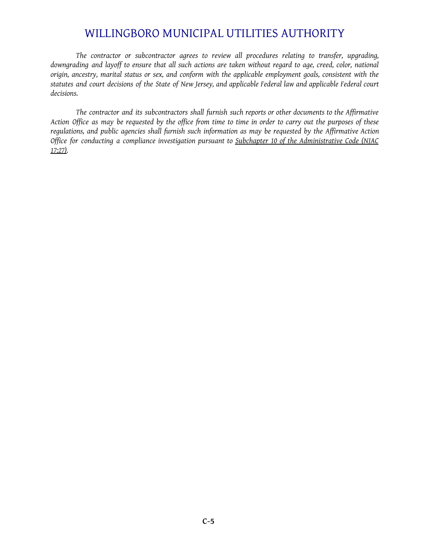*The contractor or subcontractor agrees to review all procedures relating to transfer, upgrading,* downgrading and layoff to ensure that all such actions are taken without regard to age, creed, color, national *origin, ancestry, marital status or sex, and conform with the applicable employment goals, consistent with the* statutes and court decisions of the State of New Jersey, and applicable Federal law and applicable Federal court *decisions.*

*The contractor and its subcontractors shall furnish such reports or other documents to the Affirmative* Action Office as may be requested by the office from time to time in order to carry out the purposes of these *regulations, and public agencies shall furnish such information as may be requested by the Affirmative Action Office for conducting a compliance investigation pursuant to Subchapter 10 of the Administrative Code (NJAC 17:27).*